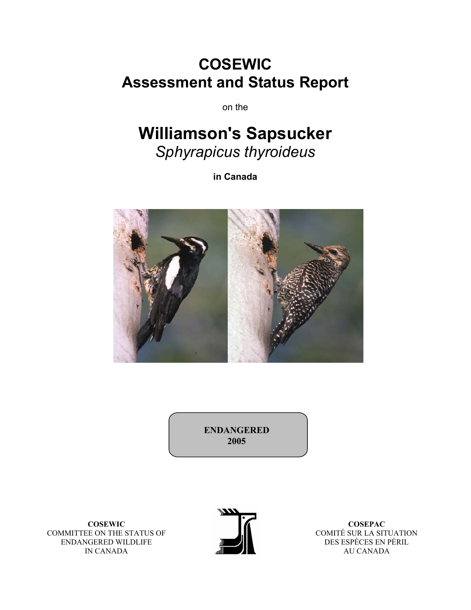# **COSEWIC Assessment and Status Report**

on the

# **Williamson's Sapsucker**  *Sphyrapicus thyroideus*

**in Canada** 



**ENDANGERED 2005** 

**COSEWIC**  COMMITTEE ON THE STATUS OF ENDANGERED WILDLIFE IN CANADA



**COSEPAC**  COMITÉ SUR LA SITUATION DES ESPÈCES EN PÉRIL AU CANADA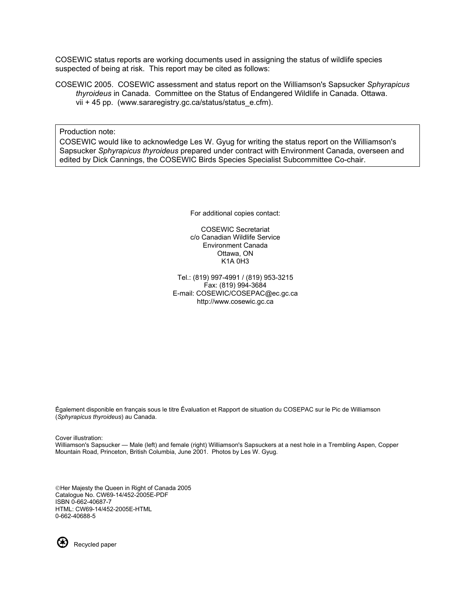COSEWIC status reports are working documents used in assigning the status of wildlife species suspected of being at risk. This report may be cited as follows:

COSEWIC 2005. COSEWIC assessment and status report on the Williamson's Sapsucker *Sphyrapicus thyroideus* in Canada. Committee on the Status of Endangered Wildlife in Canada. Ottawa. vii + 45 pp. (www.sararegistry.gc.ca/status/status\_e.cfm).

Production note:

COSEWIC would like to acknowledge Les W. Gyug for writing the status report on the Williamson's Sapsucker *Sphyrapicus thyroideus* prepared under contract with Environment Canada, overseen and edited by Dick Cannings, the COSEWIC Birds Species Specialist Subcommittee Co-chair.

For additional copies contact:

COSEWIC Secretariat c/o Canadian Wildlife Service Environment Canada Ottawa, ON K1A 0H3

Tel.: (819) 997-4991 / (819) 953-3215 Fax: (819) 994-3684 E-mail: COSEWIC/COSEPAC@ec.gc.ca http://www.cosewic.gc.ca

Ếgalement disponible en français sous le titre Ếvaluation et Rapport de situation du COSEPAC sur le Pic de Williamson (*Sphyrapicus thyroideus*) au Canada.

Cover illustration: Williamson's Sapsucker — Male (left) and female (right) Williamson's Sapsuckers at a nest hole in a Trembling Aspen, Copper Mountain Road, Princeton, British Columbia, June 2001. Photos by Les W. Gyug.

Her Majesty the Queen in Right of Canada 2005 Catalogue No. CW69-14/452-2005E-PDF ISBN 0-662-40687-7 HTML: CW69-14/452-2005E-HTML 0-662-40688-5



Recycled paper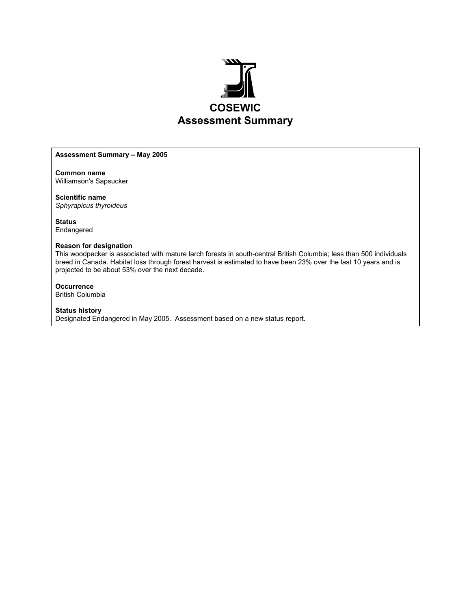

#### **Assessment Summary – May 2005**

**Common name**  Williamson's Sapsucker

**Scientific name**  *Sphyrapicus thyroideus* 

**Status**  Endangered

#### **Reason for designation**

This woodpecker is associated with mature larch forests in south-central British Columbia; less than 500 individuals breed in Canada. Habitat loss through forest harvest is estimated to have been 23% over the last 10 years and is projected to be about 53% over the next decade.

**Occurrence**  British Columbia

**Status history**  Designated Endangered in May 2005. Assessment based on a new status report.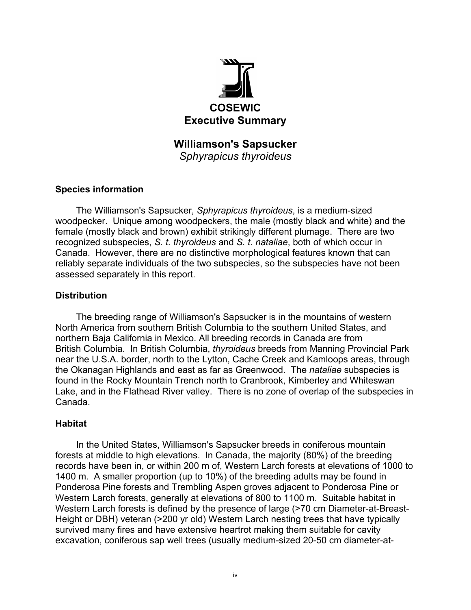

**Williamson's Sapsucker**  *Sphyrapicus thyroideus* 

# **Species information**

The Williamson's Sapsucker, *Sphyrapicus thyroideus*, is a medium-sized woodpecker. Unique among woodpeckers, the male (mostly black and white) and the female (mostly black and brown) exhibit strikingly different plumage. There are two recognized subspecies, *S. t. thyroideus* and *S. t. nataliae*, both of which occur in Canada. However, there are no distinctive morphological features known that can reliably separate individuals of the two subspecies, so the subspecies have not been assessed separately in this report.

# **Distribution**

The breeding range of Williamson's Sapsucker is in the mountains of western North America from southern British Columbia to the southern United States, and northern Baja California in Mexico. All breeding records in Canada are from British Columbia. In British Columbia, *thyroideus* breeds from Manning Provincial Park near the U.S.A. border, north to the Lytton, Cache Creek and Kamloops areas, through the Okanagan Highlands and east as far as Greenwood. The *nataliae* subspecies is found in the Rocky Mountain Trench north to Cranbrook, Kimberley and Whiteswan Lake, and in the Flathead River valley. There is no zone of overlap of the subspecies in Canada.

# **Habitat**

In the United States, Williamson's Sapsucker breeds in coniferous mountain forests at middle to high elevations. In Canada, the majority (80%) of the breeding records have been in, or within 200 m of, Western Larch forests at elevations of 1000 to 1400 m. A smaller proportion (up to 10%) of the breeding adults may be found in Ponderosa Pine forests and Trembling Aspen groves adjacent to Ponderosa Pine or Western Larch forests, generally at elevations of 800 to 1100 m. Suitable habitat in Western Larch forests is defined by the presence of large (>70 cm Diameter-at-Breast-Height or DBH) veteran (>200 yr old) Western Larch nesting trees that have typically survived many fires and have extensive heartrot making them suitable for cavity excavation, coniferous sap well trees (usually medium-sized 20-50 cm diameter-at-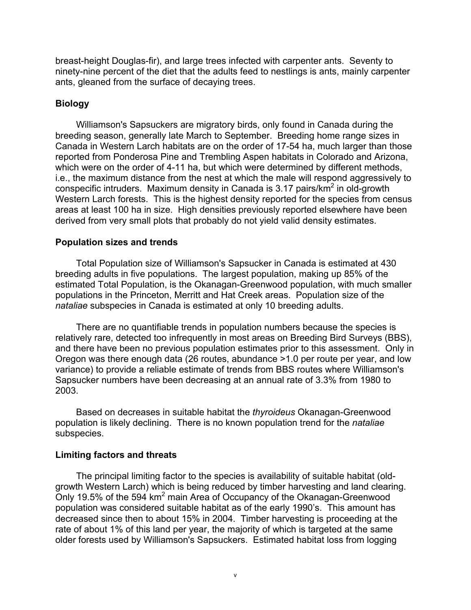breast-height Douglas-fir), and large trees infected with carpenter ants. Seventy to ninety-nine percent of the diet that the adults feed to nestlings is ants, mainly carpenter ants, gleaned from the surface of decaying trees.

# **Biology**

Williamson's Sapsuckers are migratory birds, only found in Canada during the breeding season, generally late March to September. Breeding home range sizes in Canada in Western Larch habitats are on the order of 17-54 ha, much larger than those reported from Ponderosa Pine and Trembling Aspen habitats in Colorado and Arizona, which were on the order of 4-11 ha, but which were determined by different methods, i.e., the maximum distance from the nest at which the male will respond aggressively to conspecific intruders. Maximum density in Canada is 3.17 pairs/ $km^2$  in old-growth Western Larch forests. This is the highest density reported for the species from census areas at least 100 ha in size. High densities previously reported elsewhere have been derived from very small plots that probably do not yield valid density estimates.

# **Population sizes and trends**

Total Population size of Williamson's Sapsucker in Canada is estimated at 430 breeding adults in five populations. The largest population, making up 85% of the estimated Total Population, is the Okanagan-Greenwood population, with much smaller populations in the Princeton, Merritt and Hat Creek areas. Population size of the *nataliae* subspecies in Canada is estimated at only 10 breeding adults.

There are no quantifiable trends in population numbers because the species is relatively rare, detected too infrequently in most areas on Breeding Bird Surveys (BBS), and there have been no previous population estimates prior to this assessment. Only in Oregon was there enough data (26 routes, abundance >1.0 per route per year, and low variance) to provide a reliable estimate of trends from BBS routes where Williamson's Sapsucker numbers have been decreasing at an annual rate of 3.3% from 1980 to 2003.

Based on decreases in suitable habitat the *thyroideus* Okanagan-Greenwood population is likely declining. There is no known population trend for the *nataliae* subspecies.

# **Limiting factors and threats**

The principal limiting factor to the species is availability of suitable habitat (oldgrowth Western Larch) which is being reduced by timber harvesting and land clearing. Only 19.5% of the 594 km<sup>2</sup> main Area of Occupancy of the Okanagan-Greenwood population was considered suitable habitat as of the early 1990's. This amount has decreased since then to about 15% in 2004. Timber harvesting is proceeding at the rate of about 1% of this land per year, the majority of which is targeted at the same older forests used by Williamson's Sapsuckers. Estimated habitat loss from logging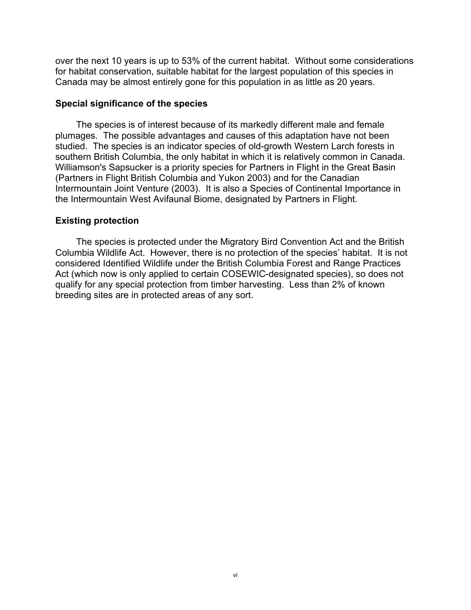over the next 10 years is up to 53% of the current habitat. Without some considerations for habitat conservation, suitable habitat for the largest population of this species in Canada may be almost entirely gone for this population in as little as 20 years.

#### **Special significance of the species**

The species is of interest because of its markedly different male and female plumages. The possible advantages and causes of this adaptation have not been studied. The species is an indicator species of old-growth Western Larch forests in southern British Columbia, the only habitat in which it is relatively common in Canada. Williamson's Sapsucker is a priority species for Partners in Flight in the Great Basin (Partners in Flight British Columbia and Yukon 2003) and for the Canadian Intermountain Joint Venture (2003). It is also a Species of Continental Importance in the Intermountain West Avifaunal Biome, designated by Partners in Flight.

#### **Existing protection**

The species is protected under the Migratory Bird Convention Act and the British Columbia Wildlife Act. However, there is no protection of the species' habitat. It is not considered Identified Wildlife under the British Columbia Forest and Range Practices Act (which now is only applied to certain COSEWIC-designated species), so does not qualify for any special protection from timber harvesting. Less than 2% of known breeding sites are in protected areas of any sort.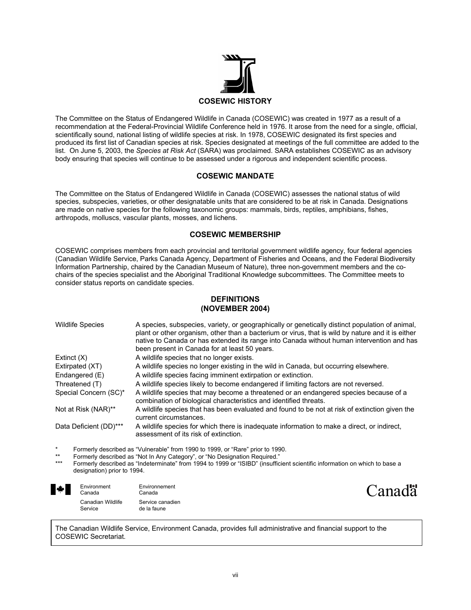

The Committee on the Status of Endangered Wildlife in Canada (COSEWIC) was created in 1977 as a result of a recommendation at the Federal-Provincial Wildlife Conference held in 1976. It arose from the need for a single, official, scientifically sound, national listing of wildlife species at risk. In 1978, COSEWIC designated its first species and produced its first list of Canadian species at risk. Species designated at meetings of the full committee are added to the list. On June 5, 2003, the *Species at Risk Act* (SARA) was proclaimed. SARA establishes COSEWIC as an advisory body ensuring that species will continue to be assessed under a rigorous and independent scientific process.

#### **COSEWIC MANDATE**

The Committee on the Status of Endangered Wildlife in Canada (COSEWIC) assesses the national status of wild species, subspecies, varieties, or other designatable units that are considered to be at risk in Canada. Designations are made on native species for the following taxonomic groups: mammals, birds, reptiles, amphibians, fishes, arthropods, molluscs, vascular plants, mosses, and lichens.

#### **COSEWIC MEMBERSHIP**

COSEWIC comprises members from each provincial and territorial government wildlife agency, four federal agencies (Canadian Wildlife Service, Parks Canada Agency, Department of Fisheries and Oceans, and the Federal Biodiversity Information Partnership, chaired by the Canadian Museum of Nature), three non-government members and the cochairs of the species specialist and the Aboriginal Traditional Knowledge subcommittees. The Committee meets to consider status reports on candidate species.

#### **DEFINITIONS (NOVEMBER 2004)**

| <b>Wildlife Species</b> | A species, subspecies, variety, or geographically or genetically distinct population of animal,<br>plant or other organism, other than a bacterium or virus, that is wild by nature and it is either<br>native to Canada or has extended its range into Canada without human intervention and has<br>been present in Canada for at least 50 years. |
|-------------------------|----------------------------------------------------------------------------------------------------------------------------------------------------------------------------------------------------------------------------------------------------------------------------------------------------------------------------------------------------|
| Extinct $(X)$           | A wildlife species that no longer exists.                                                                                                                                                                                                                                                                                                          |
| Extirpated (XT)         | A wildlife species no longer existing in the wild in Canada, but occurring elsewhere.                                                                                                                                                                                                                                                              |
| Endangered (E)          | A wildlife species facing imminent extirpation or extinction.                                                                                                                                                                                                                                                                                      |
| Threatened (T)          | A wildlife species likely to become endangered if limiting factors are not reversed.                                                                                                                                                                                                                                                               |
| Special Concern (SC)*   | A wildlife species that may become a threatened or an endangered species because of a<br>combination of biological characteristics and identified threats.                                                                                                                                                                                         |
| Not at Risk (NAR)**     | A wildlife species that has been evaluated and found to be not at risk of extinction given the<br>current circumstances.                                                                                                                                                                                                                           |
| Data Deficient (DD)***  | A wildlife species for which there is inadequate information to make a direct, or indirect,<br>assessment of its risk of extinction.                                                                                                                                                                                                               |

\* Formerly described as "Vulnerable" from 1990 to 1999, or "Rare" prior to 1990.

- \*\* Formerly described as "Not In Any Category", or "No Designation Required."<br>\*\*\* Formerly described as "Indeterminate" from 1004 to 1000 or "ISIDD" (insuffici
- Formerly described as "Indeterminate" from 1994 to 1999 or "ISIBD" (insufficient scientific information on which to base a designation) prior to 1994.

| $\bigstar$ | Environment<br>Canada        | Environnement<br>Canada         |
|------------|------------------------------|---------------------------------|
|            | Canadian Wildlife<br>Service | Service canadien<br>de la faune |



The Canadian Wildlife Service, Environment Canada, provides full administrative and financial support to the COSEWIC Secretariat.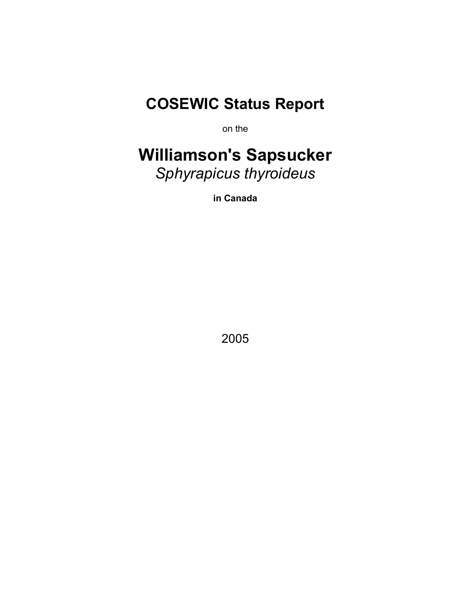# **COSEWIC Status Report**

on the

# **Williamson's Sapsucker**  *Sphyrapicus thyroideus*

**in Canada** 

2005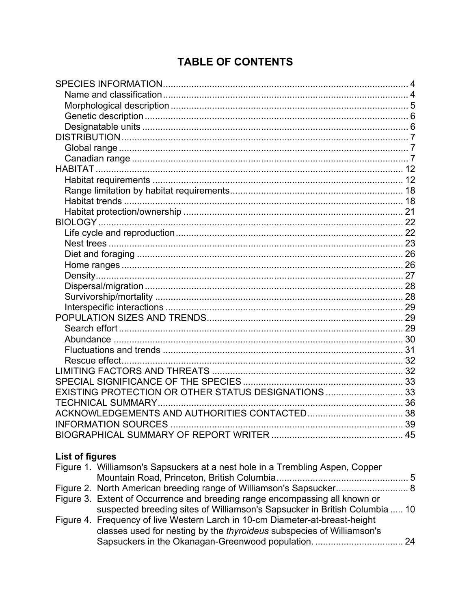# **TABLE OF CONTENTS**

| EXISTING PROTECTION OR OTHER STATUS DESIGNATIONS 33 |  |
|-----------------------------------------------------|--|
|                                                     |  |
|                                                     |  |
|                                                     |  |
|                                                     |  |

# **List of figures**

| Figure 1. Williamson's Sapsuckers at a nest hole in a Trembling Aspen, Copper |  |
|-------------------------------------------------------------------------------|--|
|                                                                               |  |
|                                                                               |  |
| Figure 3. Extent of Occurrence and breeding range encompassing all known or   |  |
| suspected breeding sites of Williamson's Sapsucker in British Columbia  10    |  |
| Figure 4. Frequency of live Western Larch in 10-cm Diameter-at-breast-height  |  |
| classes used for nesting by the thyroideus subspecies of Williamson's         |  |
|                                                                               |  |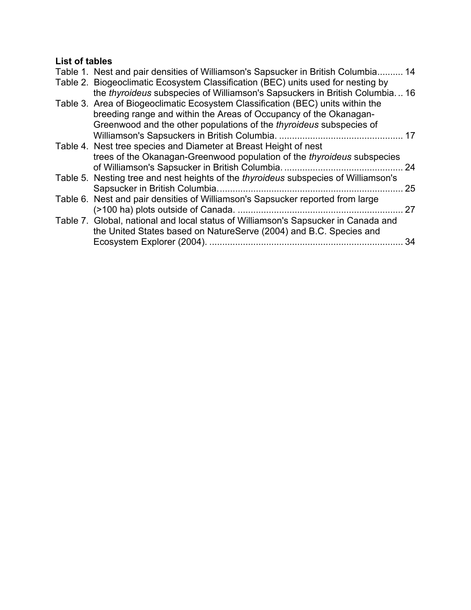# **List of tables**

| Table 1. Nest and pair densities of Williamson's Sapsucker in British Columbia 14   |    |
|-------------------------------------------------------------------------------------|----|
| Table 2. Biogeoclimatic Ecosystem Classification (BEC) units used for nesting by    |    |
| the thyroideus subspecies of Williamson's Sapsuckers in British Columbia 16         |    |
| Table 3. Area of Biogeoclimatic Ecosystem Classification (BEC) units within the     |    |
| breeding range and within the Areas of Occupancy of the Okanagan-                   |    |
| Greenwood and the other populations of the <i>thyroideus</i> subspecies of          |    |
|                                                                                     |    |
| Table 4. Nest tree species and Diameter at Breast Height of nest                    |    |
| trees of the Okanagan-Greenwood population of the thyroideus subspecies             |    |
| of Williamson's Sapsucker in British Columbia.                                      | 24 |
| Table 5. Nesting tree and nest heights of the thyroideus subspecies of Williamson's |    |
|                                                                                     | 25 |
| Table 6. Nest and pair densities of Williamson's Sapsucker reported from large      |    |
| (>100 ha) plots outside of Canada                                                   | 27 |
| Table 7. Global, national and local status of Williamson's Sapsucker in Canada and  |    |
| the United States based on NatureServe (2004) and B.C. Species and                  |    |
|                                                                                     | 34 |
|                                                                                     |    |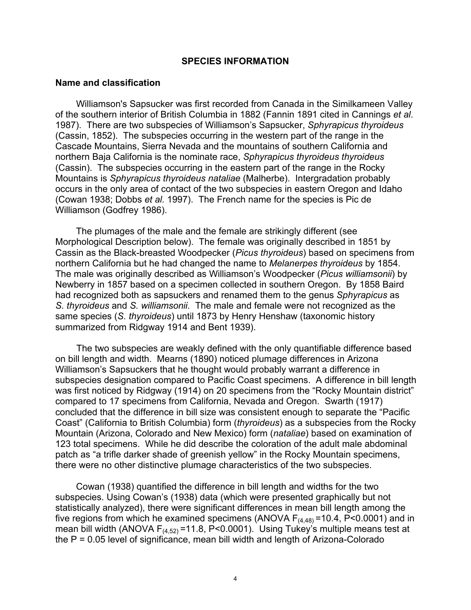#### **SPECIES INFORMATION**

#### **Name and classification**

Williamson's Sapsucker was first recorded from Canada in the Similkameen Valley of the southern interior of British Columbia in 1882 (Fannin 1891 cited in Cannings *et al*. 1987). There are two subspecies of Williamson's Sapsucker, *Sphyrapicus thyroideus* (Cassin, 1852). The subspecies occurring in the western part of the range in the Cascade Mountains, Sierra Nevada and the mountains of southern California and northern Baja California is the nominate race, *Sphyrapicus thyroideus thyroideus*  (Cassin). The subspecies occurring in the eastern part of the range in the Rocky Mountains is *Sphyrapicus thyroideus nataliae* (Malherbe). Intergradation probably occurs in the only area of contact of the two subspecies in eastern Oregon and Idaho (Cowan 1938; Dobbs *et al.* 1997). The French name for the species is Pic de Williamson (Godfrey 1986).

The plumages of the male and the female are strikingly different (see Morphological Description below). The female was originally described in 1851 by Cassin as the Black-breasted Woodpecker (*Picus thyroideus*) based on specimens from northern California but he had changed the name to *Melanerpes thyroideus* by 1854. The male was originally described as Williamson's Woodpecker (*Picus williamsonii*) by Newberry in 1857 based on a specimen collected in southern Oregon. By 1858 Baird had recognized both as sapsuckers and renamed them to the genus *Sphyrapicus* as *S. thyroideus* and *S. williamsonii*. The male and female were not recognized as the same species (*S. thyroideus*) until 1873 by Henry Henshaw (taxonomic history summarized from Ridgway 1914 and Bent 1939).

The two subspecies are weakly defined with the only quantifiable difference based on bill length and width. Mearns (1890) noticed plumage differences in Arizona Williamson's Sapsuckers that he thought would probably warrant a difference in subspecies designation compared to Pacific Coast specimens. A difference in bill length was first noticed by Ridgway (1914) on 20 specimens from the "Rocky Mountain district" compared to 17 specimens from California, Nevada and Oregon. Swarth (1917) concluded that the difference in bill size was consistent enough to separate the "Pacific Coast" (California to British Columbia) form (*thyroideus*) as a subspecies from the Rocky Mountain (Arizona, Colorado and New Mexico) form (*nataliae*) based on examination of 123 total specimens. While he did describe the coloration of the adult male abdominal patch as "a trifle darker shade of greenish yellow" in the Rocky Mountain specimens, there were no other distinctive plumage characteristics of the two subspecies.

Cowan (1938) quantified the difference in bill length and widths for the two subspecies. Using Cowan's (1938) data (which were presented graphically but not statistically analyzed), there were significant differences in mean bill length among the five regions from which he examined specimens (ANOVA  $F_{(4,48)} = 10.4$ , P<0.0001) and in mean bill width (ANOVA  $F_{(4,52)}$ =11.8, P<0.0001). Using Tukey's multiple means test at the P = 0.05 level of significance, mean bill width and length of Arizona-Colorado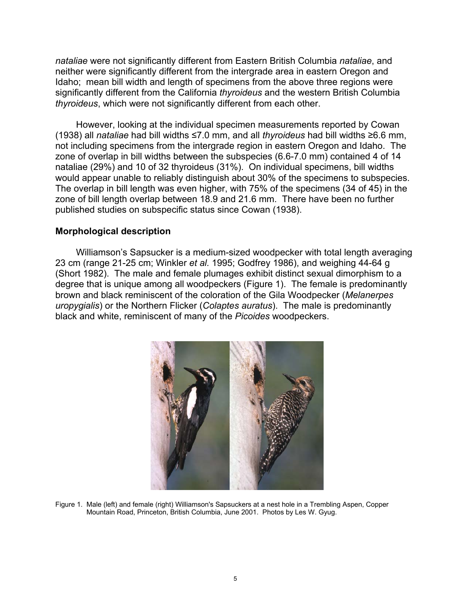*nataliae* were not significantly different from Eastern British Columbia *nataliae*, and neither were significantly different from the intergrade area in eastern Oregon and Idaho; mean bill width and length of specimens from the above three regions were significantly different from the California *thyroideus* and the western British Columbia *thyroideus*, which were not significantly different from each other.

However, looking at the individual specimen measurements reported by Cowan (1938) all *nataliae* had bill widths ≤7.0 mm, and all *thyroideus* had bill widths ≥6.6 mm, not including specimens from the intergrade region in eastern Oregon and Idaho. The zone of overlap in bill widths between the subspecies (6.6-7.0 mm) contained 4 of 14 nataliae (29%) and 10 of 32 thyroideus (31%). On individual specimens, bill widths would appear unable to reliably distinguish about 30% of the specimens to subspecies. The overlap in bill length was even higher, with 75% of the specimens (34 of 45) in the zone of bill length overlap between 18.9 and 21.6 mm. There have been no further published studies on subspecific status since Cowan (1938).

#### **Morphological description**

Williamson's Sapsucker is a medium-sized woodpecker with total length averaging 23 cm (range 21-25 cm; Winkler *et al.* 1995; Godfrey 1986), and weighing 44-64 g (Short 1982). The male and female plumages exhibit distinct sexual dimorphism to a degree that is unique among all woodpeckers (Figure 1). The female is predominantly brown and black reminiscent of the coloration of the Gila Woodpecker (*Melanerpes uropygialis*) or the Northern Flicker (*Colaptes auratus*). The male is predominantly black and white, reminiscent of many of the *Picoides* woodpeckers.



Figure 1. Male (left) and female (right) Williamson's Sapsuckers at a nest hole in a Trembling Aspen, Copper Mountain Road, Princeton, British Columbia, June 2001. Photos by Les W. Gyug.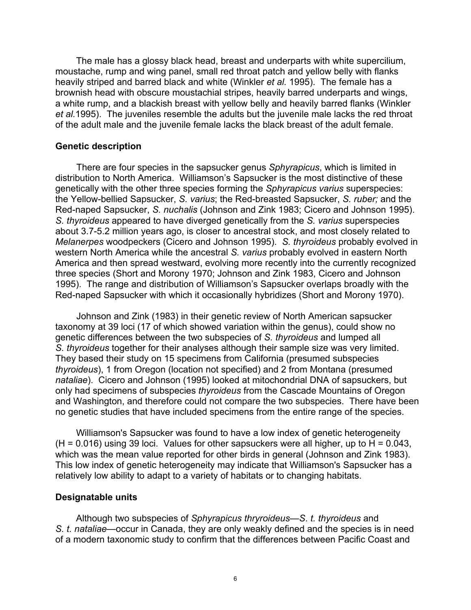The male has a glossy black head, breast and underparts with white supercilium, moustache, rump and wing panel, small red throat patch and yellow belly with flanks heavily striped and barred black and white (Winkler *et al.* 1995). The female has a brownish head with obscure moustachial stripes, heavily barred underparts and wings, a white rump, and a blackish breast with yellow belly and heavily barred flanks (Winkler *et al.*1995). The juveniles resemble the adults but the juvenile male lacks the red throat of the adult male and the juvenile female lacks the black breast of the adult female.

#### **Genetic description**

There are four species in the sapsucker genus *Sphyrapicus*, which is limited in distribution to North America. Williamson's Sapsucker is the most distinctive of these genetically with the other three species forming the *Sphyrapicus varius* superspecies: the Yellow-bellied Sapsucker, *S. varius*; the Red-breasted Sapsucker, *S. ruber;* and the Red-naped Sapsucker, *S. nuchalis* (Johnson and Zink 1983; Cicero and Johnson 1995). *S. thyroideus* appeared to have diverged genetically from the *S. varius* superspecies about 3.7-5.2 million years ago, is closer to ancestral stock, and most closely related to *Melanerpes* woodpeckers (Cicero and Johnson 1995). *S. thyroideus* probably evolved in western North America while the ancestral *S. varius* probably evolved in eastern North America and then spread westward, evolving more recently into the currently recognized three species (Short and Morony 1970; Johnson and Zink 1983, Cicero and Johnson 1995). The range and distribution of Williamson's Sapsucker overlaps broadly with the Red-naped Sapsucker with which it occasionally hybridizes (Short and Morony 1970).

Johnson and Zink (1983) in their genetic review of North American sapsucker taxonomy at 39 loci (17 of which showed variation within the genus), could show no genetic differences between the two subspecies of *S. thyroideus* and lumped all *S. thyroideus* together for their analyses although their sample size was very limited. They based their study on 15 specimens from California (presumed subspecies *thyroideus*), 1 from Oregon (location not specified) and 2 from Montana (presumed *nataliae*). Cicero and Johnson (1995) looked at mitochondrial DNA of sapsuckers, but only had specimens of subspecies *thyroideus* from the Cascade Mountains of Oregon and Washington, and therefore could not compare the two subspecies. There have been no genetic studies that have included specimens from the entire range of the species.

Williamson's Sapsucker was found to have a low index of genetic heterogeneity  $(H = 0.016)$  using 39 loci. Values for other sapsuckers were all higher, up to H = 0.043, which was the mean value reported for other birds in general (Johnson and Zink 1983). This low index of genetic heterogeneity may indicate that Williamson's Sapsucker has a relatively low ability to adapt to a variety of habitats or to changing habitats.

#### **Designatable units**

Although two subspecies of *Sphyrapicus thryroideus*—*S*. *t. thyroideus* and *S. t. nataliae*—occur in Canada, they are only weakly defined and the species is in need of a modern taxonomic study to confirm that the differences between Pacific Coast and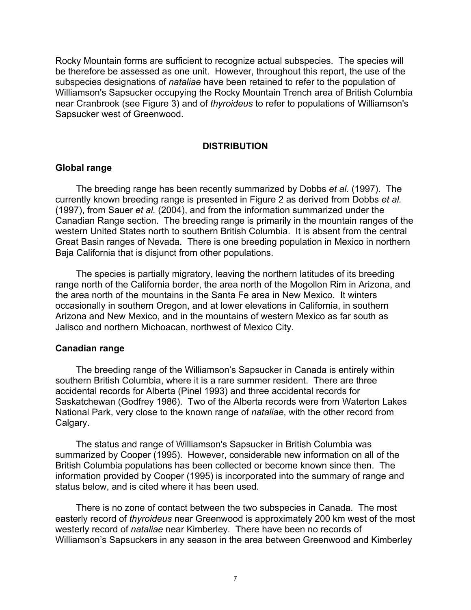Rocky Mountain forms are sufficient to recognize actual subspecies. The species will be therefore be assessed as one unit. However, throughout this report, the use of the subspecies designations of *nataliae* have been retained to refer to the population of Williamson's Sapsucker occupying the Rocky Mountain Trench area of British Columbia near Cranbrook (see Figure 3) and of *thyroideus* to refer to populations of Williamson's Sapsucker west of Greenwood.

#### **DISTRIBUTION**

#### **Global range**

The breeding range has been recently summarized by Dobbs *et al.* (1997). The currently known breeding range is presented in Figure 2 as derived from Dobbs *et al.* (1997), from Sauer *et al.* (2004), and from the information summarized under the Canadian Range section. The breeding range is primarily in the mountain ranges of the western United States north to southern British Columbia. It is absent from the central Great Basin ranges of Nevada. There is one breeding population in Mexico in northern Baja California that is disjunct from other populations.

The species is partially migratory, leaving the northern latitudes of its breeding range north of the California border, the area north of the Mogollon Rim in Arizona, and the area north of the mountains in the Santa Fe area in New Mexico. It winters occasionally in southern Oregon, and at lower elevations in California, in southern Arizona and New Mexico, and in the mountains of western Mexico as far south as Jalisco and northern Michoacan, northwest of Mexico City.

#### **Canadian range**

The breeding range of the Williamson's Sapsucker in Canada is entirely within southern British Columbia, where it is a rare summer resident. There are three accidental records for Alberta (Pinel 1993) and three accidental records for Saskatchewan (Godfrey 1986). Two of the Alberta records were from Waterton Lakes National Park, very close to the known range of *nataliae*, with the other record from Calgary.

The status and range of Williamson's Sapsucker in British Columbia was summarized by Cooper (1995). However, considerable new information on all of the British Columbia populations has been collected or become known since then. The information provided by Cooper (1995) is incorporated into the summary of range and status below, and is cited where it has been used.

There is no zone of contact between the two subspecies in Canada. The most easterly record of *thyroideus* near Greenwood is approximately 200 km west of the most westerly record of *nataliae* near Kimberley. There have been no records of Williamson's Sapsuckers in any season in the area between Greenwood and Kimberley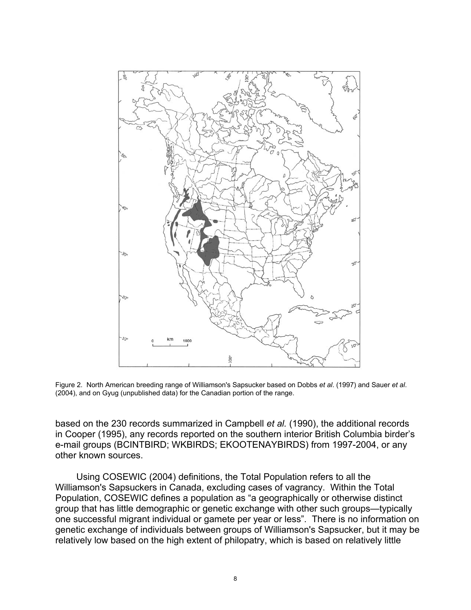

Figure 2. North American breeding range of Williamson's Sapsucker based on Dobbs *et al*. (1997) and Sauer *et al*. (2004), and on Gyug (unpublished data) for the Canadian portion of the range.

based on the 230 records summarized in Campbell *et al.* (1990), the additional records in Cooper (1995), any records reported on the southern interior British Columbia birder's e-mail groups (BCINTBIRD; WKBIRDS; EKOOTENAYBIRDS) from 1997-2004, or any other known sources.

Using COSEWIC (2004) definitions, the Total Population refers to all the Williamson's Sapsuckers in Canada, excluding cases of vagrancy. Within the Total Population, COSEWIC defines a population as "a geographically or otherwise distinct group that has little demographic or genetic exchange with other such groups—typically one successful migrant individual or gamete per year or less". There is no information on genetic exchange of individuals between groups of Williamson's Sapsucker, but it may be relatively low based on the high extent of philopatry, which is based on relatively little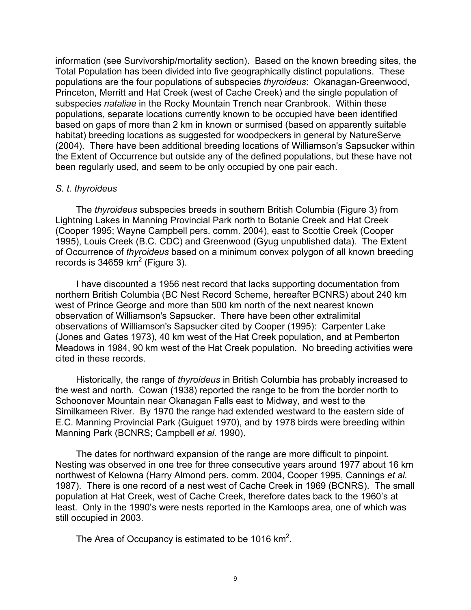information (see Survivorship/mortality section). Based on the known breeding sites, the Total Population has been divided into five geographically distinct populations. These populations are the four populations of subspecies *thyroideus*: Okanagan-Greenwood, Princeton, Merritt and Hat Creek (west of Cache Creek) and the single population of subspecies *nataliae* in the Rocky Mountain Trench near Cranbrook. Within these populations, separate locations currently known to be occupied have been identified based on gaps of more than 2 km in known or surmised (based on apparently suitable habitat) breeding locations as suggested for woodpeckers in general by NatureServe (2004). There have been additional breeding locations of Williamson's Sapsucker within the Extent of Occurrence but outside any of the defined populations, but these have not been regularly used, and seem to be only occupied by one pair each.

# *S. t. thyroideus*

The *thyroideus* subspecies breeds in southern British Columbia (Figure 3) from Lightning Lakes in Manning Provincial Park north to Botanie Creek and Hat Creek (Cooper 1995; Wayne Campbell pers. comm. 2004), east to Scottie Creek (Cooper 1995), Louis Creek (B.C. CDC) and Greenwood (Gyug unpublished data). The Extent of Occurrence of *thyroideus* based on a minimum convex polygon of all known breeding records is 34659  $km^2$  (Figure 3).

I have discounted a 1956 nest record that lacks supporting documentation from northern British Columbia (BC Nest Record Scheme, hereafter BCNRS) about 240 km west of Prince George and more than 500 km north of the next nearest known observation of Williamson's Sapsucker. There have been other extralimital observations of Williamson's Sapsucker cited by Cooper (1995): Carpenter Lake (Jones and Gates 1973), 40 km west of the Hat Creek population, and at Pemberton Meadows in 1984, 90 km west of the Hat Creek population. No breeding activities were cited in these records.

Historically, the range of *thyroideus* in British Columbia has probably increased to the west and north. Cowan (1938) reported the range to be from the border north to Schoonover Mountain near Okanagan Falls east to Midway, and west to the Similkameen River. By 1970 the range had extended westward to the eastern side of E.C. Manning Provincial Park (Guiguet 1970), and by 1978 birds were breeding within Manning Park (BCNRS; Campbell *et al.* 1990).

The dates for northward expansion of the range are more difficult to pinpoint. Nesting was observed in one tree for three consecutive years around 1977 about 16 km northwest of Kelowna (Harry Almond pers. comm. 2004, Cooper 1995, Cannings *et al.* 1987). There is one record of a nest west of Cache Creek in 1969 (BCNRS). The small population at Hat Creek, west of Cache Creek, therefore dates back to the 1960's at least. Only in the 1990's were nests reported in the Kamloops area, one of which was still occupied in 2003.

The Area of Occupancy is estimated to be 1016  $km^2$ .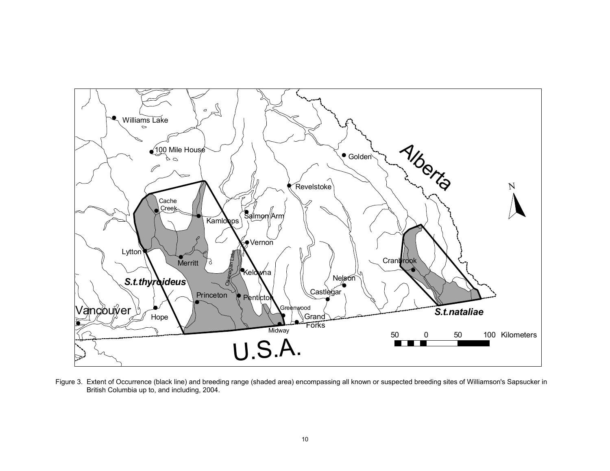

Figure 3. Extent of Occurrence (black line) and breeding range (shaded area) encompassing all known or suspected breeding sites of Williamson's Sapsucker in British Columbia up to, and including, 2004.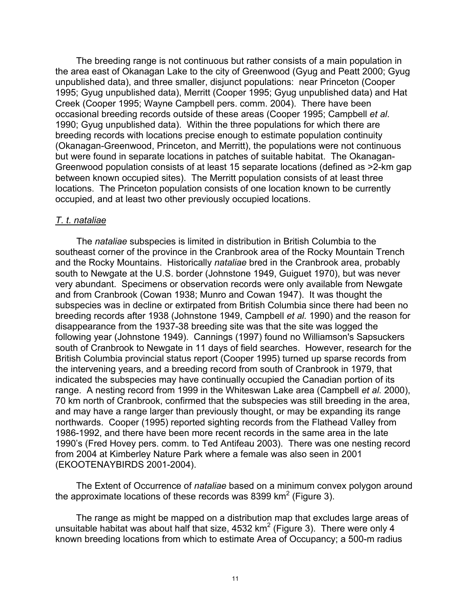The breeding range is not continuous but rather consists of a main population in the area east of Okanagan Lake to the city of Greenwood (Gyug and Peatt 2000; Gyug unpublished data), and three smaller, disjunct populations: near Princeton (Cooper 1995; Gyug unpublished data), Merritt (Cooper 1995; Gyug unpublished data) and Hat Creek (Cooper 1995; Wayne Campbell pers. comm. 2004). There have been occasional breeding records outside of these areas (Cooper 1995; Campbell *et al*. 1990; Gyug unpublished data). Within the three populations for which there are breeding records with locations precise enough to estimate population continuity (Okanagan-Greenwood, Princeton, and Merritt), the populations were not continuous but were found in separate locations in patches of suitable habitat. The Okanagan-Greenwood population consists of at least 15 separate locations (defined as >2-km gap between known occupied sites). The Merritt population consists of at least three locations. The Princeton population consists of one location known to be currently occupied, and at least two other previously occupied locations.

#### *T. t. nataliae*

The *nataliae* subspecies is limited in distribution in British Columbia to the southeast corner of the province in the Cranbrook area of the Rocky Mountain Trench and the Rocky Mountains. Historically *nataliae* bred in the Cranbrook area, probably south to Newgate at the U.S. border (Johnstone 1949, Guiguet 1970), but was never very abundant. Specimens or observation records were only available from Newgate and from Cranbrook (Cowan 1938; Munro and Cowan 1947). It was thought the subspecies was in decline or extirpated from British Columbia since there had been no breeding records after 1938 (Johnstone 1949, Campbell *et al.* 1990) and the reason for disappearance from the 1937-38 breeding site was that the site was logged the following year (Johnstone 1949). Cannings (1997) found no Williamson's Sapsuckers south of Cranbrook to Newgate in 11 days of field searches. However, research for the British Columbia provincial status report (Cooper 1995) turned up sparse records from the intervening years, and a breeding record from south of Cranbrook in 1979, that indicated the subspecies may have continually occupied the Canadian portion of its range. A nesting record from 1999 in the Whiteswan Lake area (Campbell *et al.* 2000), 70 km north of Cranbrook, confirmed that the subspecies was still breeding in the area, and may have a range larger than previously thought, or may be expanding its range northwards. Cooper (1995) reported sighting records from the Flathead Valley from 1986-1992, and there have been more recent records in the same area in the late 1990's (Fred Hovey pers. comm. to Ted Antifeau 2003). There was one nesting record from 2004 at Kimberley Nature Park where a female was also seen in 2001 (EKOOTENAYBIRDS 2001-2004).

The Extent of Occurrence of *nataliae* based on a minimum convex polygon around the approximate locations of these records was 8399  $km^2$  (Figure 3).

The range as might be mapped on a distribution map that excludes large areas of unsuitable habitat was about half that size, 4532 km<sup>2</sup> (Figure 3). There were only 4 known breeding locations from which to estimate Area of Occupancy; a 500-m radius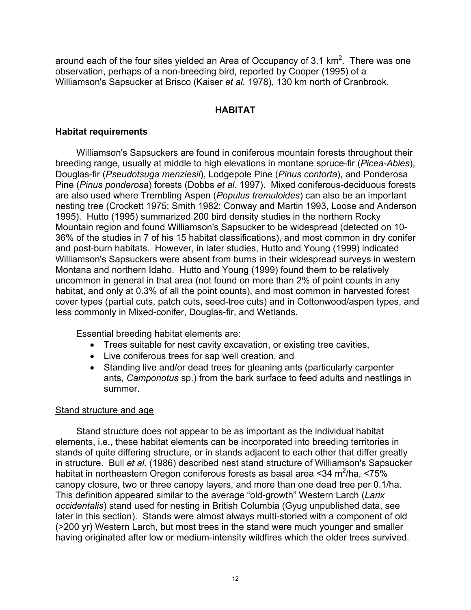around each of the four sites yielded an Area of Occupancy of 3.1 km<sup>2</sup>. There was one observation, perhaps of a non-breeding bird, reported by Cooper (1995) of a Williamson's Sapsucker at Brisco (Kaiser *et al.* 1978), 130 km north of Cranbrook.

# **HABITAT**

# **Habitat requirements**

Williamson's Sapsuckers are found in coniferous mountain forests throughout their breeding range, usually at middle to high elevations in montane spruce-fir (*Picea-Abies*), Douglas-fir (*Pseudotsuga menziesii*), Lodgepole Pine (*Pinus contorta*), and Ponderosa Pine (*Pinus ponderosa*) forests (Dobbs *et al.* 1997). Mixed coniferous-deciduous forests are also used where Trembling Aspen (*Populus tremuloides*) can also be an important nesting tree (Crockett 1975; Smith 1982; Conway and Martin 1993, Loose and Anderson 1995). Hutto (1995) summarized 200 bird density studies in the northern Rocky Mountain region and found Williamson's Sapsucker to be widespread (detected on 10- 36% of the studies in 7 of his 15 habitat classifications), and most common in dry conifer and post-burn habitats. However, in later studies, Hutto and Young (1999) indicated Williamson's Sapsuckers were absent from burns in their widespread surveys in western Montana and northern Idaho. Hutto and Young (1999) found them to be relatively uncommon in general in that area (not found on more than 2% of point counts in any habitat, and only at 0.3% of all the point counts), and most common in harvested forest cover types (partial cuts, patch cuts, seed-tree cuts) and in Cottonwood/aspen types, and less commonly in Mixed-conifer, Douglas-fir, and Wetlands.

Essential breeding habitat elements are:

- Trees suitable for nest cavity excavation, or existing tree cavities,
- Live coniferous trees for sap well creation, and
- Standing live and/or dead trees for gleaning ants (particularly carpenter ants, *Camponotus* sp.) from the bark surface to feed adults and nestlings in summer.

# Stand structure and age

Stand structure does not appear to be as important as the individual habitat elements, i.e., these habitat elements can be incorporated into breeding territories in stands of quite differing structure, or in stands adjacent to each other that differ greatly in structure. Bull *et al.* (1986) described nest stand structure of Williamson's Sapsucker habitat in northeastern Oregon coniferous forests as basal area <34 m<sup>2</sup>/ha, <75% canopy closure, two or three canopy layers, and more than one dead tree per 0.1/ha. This definition appeared similar to the average "old-growth" Western Larch (*Larix occidentalis*) stand used for nesting in British Columbia (Gyug unpublished data, see later in this section). Stands were almost always multi-storied with a component of old (>200 yr) Western Larch, but most trees in the stand were much younger and smaller having originated after low or medium-intensity wildfires which the older trees survived.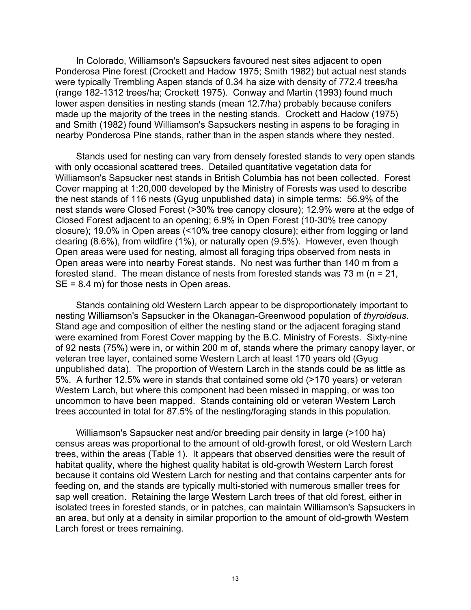In Colorado, Williamson's Sapsuckers favoured nest sites adjacent to open Ponderosa Pine forest (Crockett and Hadow 1975; Smith 1982) but actual nest stands were typically Trembling Aspen stands of 0.34 ha size with density of 772.4 trees/ha (range 182-1312 trees/ha; Crockett 1975). Conway and Martin (1993) found much lower aspen densities in nesting stands (mean 12.7/ha) probably because conifers made up the majority of the trees in the nesting stands. Crockett and Hadow (1975) and Smith (1982) found Williamson's Sapsuckers nesting in aspens to be foraging in nearby Ponderosa Pine stands, rather than in the aspen stands where they nested.

Stands used for nesting can vary from densely forested stands to very open stands with only occasional scattered trees. Detailed quantitative vegetation data for Williamson's Sapsucker nest stands in British Columbia has not been collected. Forest Cover mapping at 1:20,000 developed by the Ministry of Forests was used to describe the nest stands of 116 nests (Gyug unpublished data) in simple terms: 56.9% of the nest stands were Closed Forest (>30% tree canopy closure); 12.9% were at the edge of Closed Forest adjacent to an opening; 6.9% in Open Forest (10-30% tree canopy closure); 19.0% in Open areas (<10% tree canopy closure); either from logging or land clearing (8.6%), from wildfire (1%), or naturally open (9.5%). However, even though Open areas were used for nesting, almost all foraging trips observed from nests in Open areas were into nearby Forest stands. No nest was further than 140 m from a forested stand. The mean distance of nests from forested stands was 73 m (n = 21, SE = 8.4 m) for those nests in Open areas.

Stands containing old Western Larch appear to be disproportionately important to nesting Williamson's Sapsucker in the Okanagan-Greenwood population of *thyroideus*. Stand age and composition of either the nesting stand or the adjacent foraging stand were examined from Forest Cover mapping by the B.C. Ministry of Forests. Sixty-nine of 92 nests (75%) were in, or within 200 m of, stands where the primary canopy layer, or veteran tree layer, contained some Western Larch at least 170 years old (Gyug unpublished data). The proportion of Western Larch in the stands could be as little as 5%. A further 12.5% were in stands that contained some old (>170 years) or veteran Western Larch, but where this component had been missed in mapping, or was too uncommon to have been mapped. Stands containing old or veteran Western Larch trees accounted in total for 87.5% of the nesting/foraging stands in this population.

Williamson's Sapsucker nest and/or breeding pair density in large (>100 ha) census areas was proportional to the amount of old-growth forest, or old Western Larch trees, within the areas (Table 1). It appears that observed densities were the result of habitat quality, where the highest quality habitat is old-growth Western Larch forest because it contains old Western Larch for nesting and that contains carpenter ants for feeding on, and the stands are typically multi-storied with numerous smaller trees for sap well creation. Retaining the large Western Larch trees of that old forest, either in isolated trees in forested stands, or in patches, can maintain Williamson's Sapsuckers in an area, but only at a density in similar proportion to the amount of old-growth Western Larch forest or trees remaining.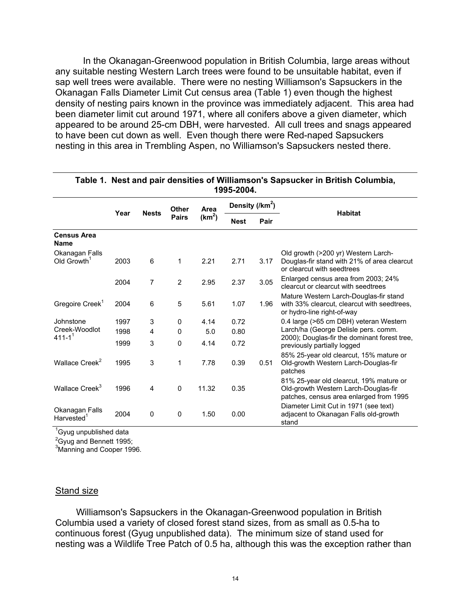In the Okanagan-Greenwood population in British Columbia, large areas without any suitable nesting Western Larch trees were found to be unsuitable habitat, even if sap well trees were available. There were no nesting Williamson's Sapsuckers in the Okanagan Falls Diameter Limit Cut census area (Table 1) even though the highest density of nesting pairs known in the province was immediately adjacent. This area had been diameter limit cut around 1971, where all conifers above a given diameter, which appeared to be around 25-cm DBH, were harvested. All cull trees and snags appeared to have been cut down as well. Even though there were Red-naped Sapsuckers nesting in this area in Trembling Aspen, no Williamson's Sapsuckers nested there.

| 1995-2004.                               |      |              |                |                    |             |                     |                                                                                                                            |  |  |  |  |  |
|------------------------------------------|------|--------------|----------------|--------------------|-------------|---------------------|----------------------------------------------------------------------------------------------------------------------------|--|--|--|--|--|
|                                          |      |              | <b>Other</b>   | Area               |             | Density (/ $km^2$ ) |                                                                                                                            |  |  |  |  |  |
|                                          | Year | <b>Nests</b> | <b>Pairs</b>   | (km <sup>2</sup> ) | <b>Nest</b> | Pair                | <b>Habitat</b>                                                                                                             |  |  |  |  |  |
| <b>Census Area</b><br><b>Name</b>        |      |              |                |                    |             |                     |                                                                                                                            |  |  |  |  |  |
| Okanagan Falls                           |      |              |                |                    |             |                     | Old growth (>200 yr) Western Larch-                                                                                        |  |  |  |  |  |
| Old Growth <sup>1</sup>                  | 2003 | 6            | 1              | 2.21               | 2.71        | 3.17                | Douglas-fir stand with 21% of area clearcut<br>or clearcut with seedtrees                                                  |  |  |  |  |  |
|                                          | 2004 | 7            | $\overline{2}$ | 2.95               | 2.37        | 3.05                | Enlarged census area from 2003; 24%<br>clearcut or clearcut with seedtrees                                                 |  |  |  |  |  |
| Gregoire Creek <sup>1</sup>              | 2004 | 6            | 5              | 5.61               | 1.07        | 1.96                | Mature Western Larch-Douglas-fir stand<br>with 33% clearcut, clearcut with seedtrees,<br>or hydro-line right-of-way        |  |  |  |  |  |
| Johnstone                                | 1997 | 3            | 0              | 4.14               | 0.72        |                     | 0.4 large (>65 cm DBH) veteran Western                                                                                     |  |  |  |  |  |
| Creek-Woodlot<br>$411 - 1^1$             | 1998 | 4            | 0              | 5.0                | 0.80        |                     | Larch/ha (George Delisle pers. comm.<br>2000); Douglas-fir the dominant forest tree,                                       |  |  |  |  |  |
|                                          | 1999 | 3            | 0              | 4.14               | 0.72        |                     | previously partially logged                                                                                                |  |  |  |  |  |
|                                          |      |              |                |                    |             |                     | 85% 25-year old clearcut, 15% mature or                                                                                    |  |  |  |  |  |
| Wallace Creek <sup>2</sup>               | 1995 | 3            | 1              | 7.78               | 0.39        | 0.51                | Old-growth Western Larch-Douglas-fir<br>patches                                                                            |  |  |  |  |  |
| Wallace Creek <sup>3</sup>               | 1996 | 4            | $\mathbf 0$    | 11.32              | 0.35        |                     | 81% 25-year old clearcut, 19% mature or<br>Old-growth Western Larch-Douglas-fir<br>patches, census area enlarged from 1995 |  |  |  |  |  |
| Okanagan Falls<br>Harvested <sup>1</sup> | 2004 | $\mathbf 0$  | $\mathbf 0$    | 1.50               | 0.00        |                     | Diameter Limit Cut in 1971 (see text)<br>adjacent to Okanagan Falls old-growth<br>stand                                    |  |  |  |  |  |
| <sup>1</sup> Gyug unpublished data       |      |              |                |                    |             |                     |                                                                                                                            |  |  |  |  |  |

#### **Table 1. Nest and pair densities of Williamson's Sapsucker in British Columbia, 1995-2004.**

<sup>2</sup>Gyug and Bennett 1995;

<sup>3</sup>Manning and Cooper 1996.

#### Stand size

Williamson's Sapsuckers in the Okanagan-Greenwood population in British Columbia used a variety of closed forest stand sizes, from as small as 0.5-ha to continuous forest (Gyug unpublished data). The minimum size of stand used for nesting was a Wildlife Tree Patch of 0.5 ha, although this was the exception rather than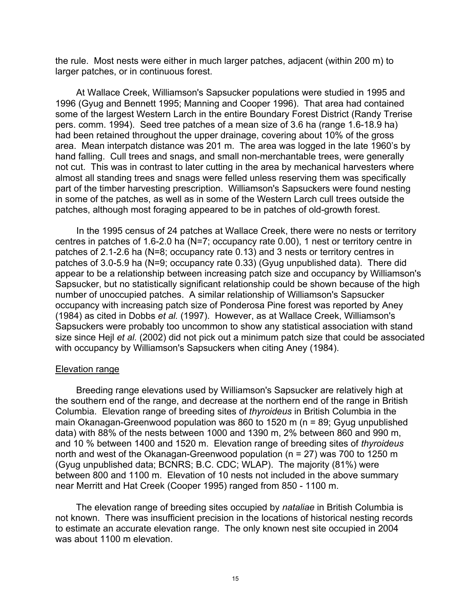the rule. Most nests were either in much larger patches, adjacent (within 200 m) to larger patches, or in continuous forest.

At Wallace Creek, Williamson's Sapsucker populations were studied in 1995 and 1996 (Gyug and Bennett 1995; Manning and Cooper 1996). That area had contained some of the largest Western Larch in the entire Boundary Forest District (Randy Trerise pers. comm. 1994). Seed tree patches of a mean size of 3.6 ha (range 1.6-18.9 ha) had been retained throughout the upper drainage, covering about 10% of the gross area. Mean interpatch distance was 201 m. The area was logged in the late 1960's by hand falling. Cull trees and snags, and small non-merchantable trees, were generally not cut. This was in contrast to later cutting in the area by mechanical harvesters where almost all standing trees and snags were felled unless reserving them was specifically part of the timber harvesting prescription. Williamson's Sapsuckers were found nesting in some of the patches, as well as in some of the Western Larch cull trees outside the patches, although most foraging appeared to be in patches of old-growth forest.

In the 1995 census of 24 patches at Wallace Creek, there were no nests or territory centres in patches of 1.6-2.0 ha (N=7; occupancy rate 0.00), 1 nest or territory centre in patches of 2.1-2.6 ha (N=8; occupancy rate 0.13) and 3 nests or territory centres in patches of 3.0-5.9 ha (N=9; occupancy rate 0.33) (Gyug unpublished data). There did appear to be a relationship between increasing patch size and occupancy by Williamson's Sapsucker, but no statistically significant relationship could be shown because of the high number of unoccupied patches. A similar relationship of Williamson's Sapsucker occupancy with increasing patch size of Ponderosa Pine forest was reported by Aney (1984) as cited in Dobbs *et al.* (1997). However, as at Wallace Creek, Williamson's Sapsuckers were probably too uncommon to show any statistical association with stand size since Hejl *et al.* (2002) did not pick out a minimum patch size that could be associated with occupancy by Williamson's Sapsuckers when citing Aney (1984).

#### Elevation range

Breeding range elevations used by Williamson's Sapsucker are relatively high at the southern end of the range, and decrease at the northern end of the range in British Columbia. Elevation range of breeding sites of *thyroideus* in British Columbia in the main Okanagan-Greenwood population was 860 to 1520 m (n = 89; Gyug unpublished data) with 88% of the nests between 1000 and 1390 m, 2% between 860 and 990 m, and 10 % between 1400 and 1520 m. Elevation range of breeding sites of *thyroideus* north and west of the Okanagan-Greenwood population (n = 27) was 700 to 1250 m (Gyug unpublished data; BCNRS; B.C. CDC; WLAP). The majority (81%) were between 800 and 1100 m. Elevation of 10 nests not included in the above summary near Merritt and Hat Creek (Cooper 1995) ranged from 850 - 1100 m.

The elevation range of breeding sites occupied by *nataliae* in British Columbia is not known. There was insufficient precision in the locations of historical nesting records to estimate an accurate elevation range. The only known nest site occupied in 2004 was about 1100 m elevation.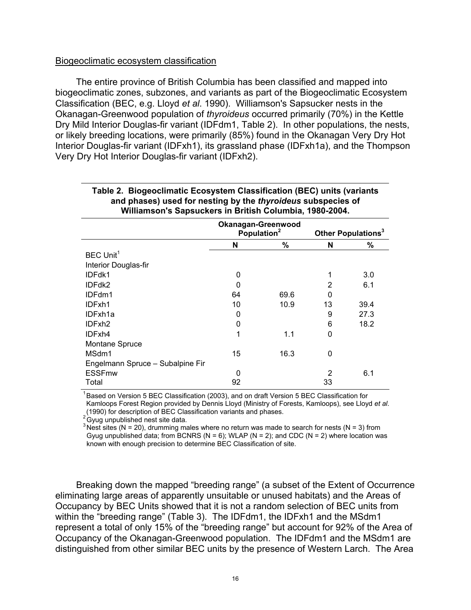#### Biogeoclimatic ecosystem classification

The entire province of British Columbia has been classified and mapped into biogeoclimatic zones, subzones, and variants as part of the Biogeoclimatic Ecosystem Classification (BEC, e.g. Lloyd *et al*. 1990). Williamson's Sapsucker nests in the Okanagan-Greenwood population of *thyroideus* occurred primarily (70%) in the Kettle Dry Mild Interior Douglas-fir variant (IDFdm1, Table 2). In other populations, the nests, or likely breeding locations, were primarily (85%) found in the Okanagan Very Dry Hot Interior Douglas-fir variant (IDFxh1), its grassland phase (IDFxh1a), and the Thompson Very Dry Hot Interior Douglas-fir variant (IDFxh2).

|                                  |    | Okanagan-Greenwood<br>Population <sup>2</sup> | Other Populations <sup>3</sup> |      |  |  |  |  |  |
|----------------------------------|----|-----------------------------------------------|--------------------------------|------|--|--|--|--|--|
|                                  | N  | %                                             | N                              | %    |  |  |  |  |  |
| BEC Unit <sup>1</sup>            |    |                                               |                                |      |  |  |  |  |  |
| Interior Douglas-fir             |    |                                               |                                |      |  |  |  |  |  |
| IDFdk1                           | 0  |                                               |                                | 3.0  |  |  |  |  |  |
| IDFdk2                           | 0  |                                               | 2                              | 6.1  |  |  |  |  |  |
| IDFdm1                           | 64 | 69.6                                          | 0                              |      |  |  |  |  |  |
| IDFxh1                           | 10 | 10.9                                          | 13                             | 39.4 |  |  |  |  |  |
| IDFxh1a                          | 0  |                                               | 9                              | 27.3 |  |  |  |  |  |
| IDFxh <sub>2</sub>               | 0  |                                               | 6                              | 18.2 |  |  |  |  |  |
| IDFxh4                           | 1  | 1.1                                           | 0                              |      |  |  |  |  |  |
| Montane Spruce                   |    |                                               |                                |      |  |  |  |  |  |
| MSdm1                            | 15 | 16.3                                          | 0                              |      |  |  |  |  |  |
| Engelmann Spruce - Subalpine Fir |    |                                               |                                |      |  |  |  |  |  |
| <b>ESSFmw</b>                    | 0  |                                               | $\overline{2}$                 | 6.1  |  |  |  |  |  |
| Total                            | 92 |                                               | 33                             |      |  |  |  |  |  |

#### **Table 2. Biogeoclimatic Ecosystem Classification (BEC) units (variants and phases) used for nesting by the** *thyroideus* **subspecies of Williamson's Sapsuckers in British Columbia, 1980-2004.**

Based on Version 5 BEC Classification (2003), and on draft Version 5 BEC Classification for Kamloops Forest Region provided by Dennis Lloyd (Ministry of Forests, Kamloops), see Lloyd *et al*. (1990) for description of BEC Classification variants and phases.

 $2^{2}$ Gyug unpublished nest site data.

<sup>3</sup> Nest sites (N = 20), drumming males where no return was made to search for nests (N = 3) from Gyug unpublished data; from BCNRS (N = 6); WLAP (N = 2); and CDC (N = 2) where location was known with enough precision to determine BEC Classification of site.

Breaking down the mapped "breeding range" (a subset of the Extent of Occurrence eliminating large areas of apparently unsuitable or unused habitats) and the Areas of Occupancy by BEC Units showed that it is not a random selection of BEC units from within the "breeding range" (Table 3). The IDFdm1, the IDFxh1 and the MSdm1 represent a total of only 15% of the "breeding range" but account for 92% of the Area of Occupancy of the Okanagan-Greenwood population. The IDFdm1 and the MSdm1 are distinguished from other similar BEC units by the presence of Western Larch. The Area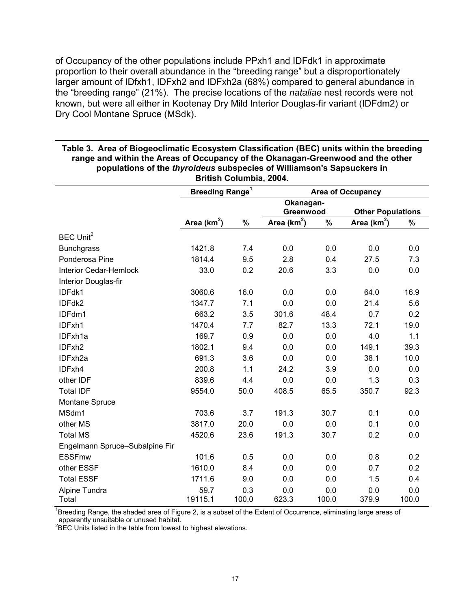of Occupancy of the other populations include PPxh1 and IDFdk1 in approximate proportion to their overall abundance in the "breeding range" but a disproportionately larger amount of IDfxh1, IDFxh2 and IDFxh2a (68%) compared to general abundance in the "breeding range" (21%). The precise locations of the *nataliae* nest records were not known, but were all either in Kootenay Dry Mild Interior Douglas-fir variant (IDFdm2) or Dry Cool Montane Spruce (MSdk).

| DHUSH VUIUHINIA, 4004.         |                                   |       |                          |         |                          |       |  |  |  |  |  |
|--------------------------------|-----------------------------------|-------|--------------------------|---------|--------------------------|-------|--|--|--|--|--|
|                                | <b>Breeding Range<sup>1</sup></b> |       | <b>Area of Occupancy</b> |         |                          |       |  |  |  |  |  |
|                                |                                   |       | Okanagan-                |         |                          |       |  |  |  |  |  |
|                                |                                   |       | Greenwood                |         | <b>Other Populations</b> |       |  |  |  |  |  |
|                                | Area ( $km^2$ )                   | $\%$  | Area ( $km^2$ )          | $\%$    | Area ( $km2$ )           | $\%$  |  |  |  |  |  |
| BEC Unit <sup>2</sup>          |                                   |       |                          |         |                          |       |  |  |  |  |  |
| <b>Bunchgrass</b>              | 1421.8                            | 7.4   | 0.0                      | 0.0     | 0.0                      | 0.0   |  |  |  |  |  |
| Ponderosa Pine                 | 1814.4                            | 9.5   | 2.8                      | 0.4     | 27.5                     | 7.3   |  |  |  |  |  |
| <b>Interior Cedar-Hemlock</b>  | 33.0                              | 0.2   | 20.6                     | 3.3     | 0.0                      | 0.0   |  |  |  |  |  |
| Interior Douglas-fir           |                                   |       |                          |         |                          |       |  |  |  |  |  |
| IDFdk1                         | 3060.6                            | 16.0  | 0.0                      | 0.0     | 64.0                     | 16.9  |  |  |  |  |  |
| IDFdk2                         | 1347.7                            | 7.1   | 0.0                      | 0.0     | 21.4                     | 5.6   |  |  |  |  |  |
| IDFdm1                         | 663.2                             | 3.5   | 301.6                    | 48.4    | 0.7                      | 0.2   |  |  |  |  |  |
| IDFxh1                         | 1470.4                            | 7.7   | 82.7                     | 13.3    | 72.1                     | 19.0  |  |  |  |  |  |
| IDFxh1a                        | 169.7                             | 0.9   | 0.0                      | $0.0\,$ | 4.0                      | 1.1   |  |  |  |  |  |
| IDFxh2                         | 1802.1                            | 9.4   | 0.0                      | 0.0     | 149.1                    | 39.3  |  |  |  |  |  |
| IDFxh2a                        | 691.3                             | 3.6   | 0.0                      | 0.0     | 38.1                     | 10.0  |  |  |  |  |  |
| IDFxh4                         | 200.8                             | 1.1   | 24.2                     | 3.9     | 0.0                      | 0.0   |  |  |  |  |  |
| other IDF                      | 839.6                             | 4.4   | 0.0                      | 0.0     | 1.3                      | 0.3   |  |  |  |  |  |
| <b>Total IDF</b>               | 9554.0                            | 50.0  | 408.5                    | 65.5    | 350.7                    | 92.3  |  |  |  |  |  |
| Montane Spruce                 |                                   |       |                          |         |                          |       |  |  |  |  |  |
| MSdm1                          | 703.6                             | 3.7   | 191.3                    | 30.7    | 0.1                      | 0.0   |  |  |  |  |  |
| other MS                       | 3817.0                            | 20.0  | 0.0                      | 0.0     | 0.1                      | 0.0   |  |  |  |  |  |
| <b>Total MS</b>                | 4520.6                            | 23.6  | 191.3                    | 30.7    | 0.2                      | 0.0   |  |  |  |  |  |
| Engelmann Spruce-Subalpine Fir |                                   |       |                          |         |                          |       |  |  |  |  |  |
| <b>ESSFmw</b>                  | 101.6                             | 0.5   | 0.0                      | 0.0     | 0.8                      | 0.2   |  |  |  |  |  |
| other ESSF                     | 1610.0                            | 8.4   | 0.0                      | 0.0     | 0.7                      | 0.2   |  |  |  |  |  |
| <b>Total ESSF</b>              | 1711.6                            | 9.0   | 0.0                      | 0.0     | 1.5                      | 0.4   |  |  |  |  |  |
| Alpine Tundra                  | 59.7                              | 0.3   | 0.0                      | 0.0     | 0.0                      | 0.0   |  |  |  |  |  |
| Total                          | 19115.1                           | 100.0 | 623.3                    | 100.0   | 379.9                    | 100.0 |  |  |  |  |  |

#### **Table 3. Area of Biogeoclimatic Ecosystem Classification (BEC) units within the breeding range and within the Areas of Occupancy of the Okanagan-Greenwood and the other populations of the** *thyroideus* **subspecies of Williamson's Sapsuckers in British Columbia, 2004.**

<sup>1</sup>Breeding Range, the shaded area of Figure 2, is a subset of the Extent of Occurrence, eliminating large areas of apparently unsuitable or unused habitat.

 ${}^{2}$ BEC Units listed in the table from lowest to highest elevations.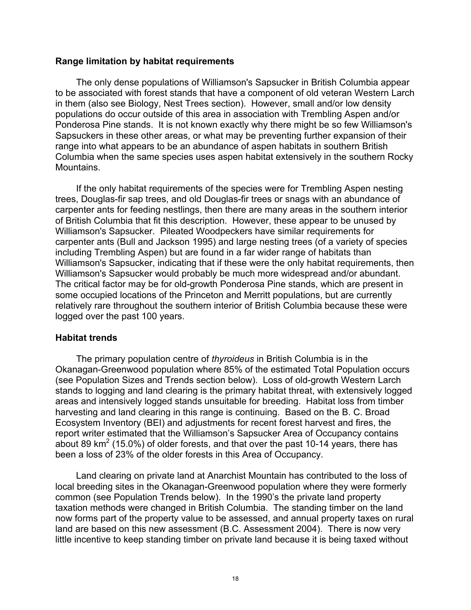#### **Range limitation by habitat requirements**

The only dense populations of Williamson's Sapsucker in British Columbia appear to be associated with forest stands that have a component of old veteran Western Larch in them (also see Biology, Nest Trees section). However, small and/or low density populations do occur outside of this area in association with Trembling Aspen and/or Ponderosa Pine stands. It is not known exactly why there might be so few Williamson's Sapsuckers in these other areas, or what may be preventing further expansion of their range into what appears to be an abundance of aspen habitats in southern British Columbia when the same species uses aspen habitat extensively in the southern Rocky **Mountains** 

If the only habitat requirements of the species were for Trembling Aspen nesting trees, Douglas-fir sap trees, and old Douglas-fir trees or snags with an abundance of carpenter ants for feeding nestlings, then there are many areas in the southern interior of British Columbia that fit this description. However, these appear to be unused by Williamson's Sapsucker. Pileated Woodpeckers have similar requirements for carpenter ants (Bull and Jackson 1995) and large nesting trees (of a variety of species including Trembling Aspen) but are found in a far wider range of habitats than Williamson's Sapsucker, indicating that if these were the only habitat requirements, then Williamson's Sapsucker would probably be much more widespread and/or abundant. The critical factor may be for old-growth Ponderosa Pine stands, which are present in some occupied locations of the Princeton and Merritt populations, but are currently relatively rare throughout the southern interior of British Columbia because these were logged over the past 100 years.

#### **Habitat trends**

The primary population centre of *thyroideus* in British Columbia is in the Okanagan-Greenwood population where 85% of the estimated Total Population occurs (see Population Sizes and Trends section below). Loss of old-growth Western Larch stands to logging and land clearing is the primary habitat threat, with extensively logged areas and intensively logged stands unsuitable for breeding. Habitat loss from timber harvesting and land clearing in this range is continuing. Based on the B. C. Broad Ecosystem Inventory (BEI) and adjustments for recent forest harvest and fires, the report writer estimated that the Williamson's Sapsucker Area of Occupancy contains about 89 km<sup>2</sup> (15.0%) of older forests, and that over the past 10-14 years, there has been a loss of 23% of the older forests in this Area of Occupancy.

Land clearing on private land at Anarchist Mountain has contributed to the loss of local breeding sites in the Okanagan-Greenwood population where they were formerly common (see Population Trends below). In the 1990's the private land property taxation methods were changed in British Columbia. The standing timber on the land now forms part of the property value to be assessed, and annual property taxes on rural land are based on this new assessment (B.C. Assessment 2004). There is now very little incentive to keep standing timber on private land because it is being taxed without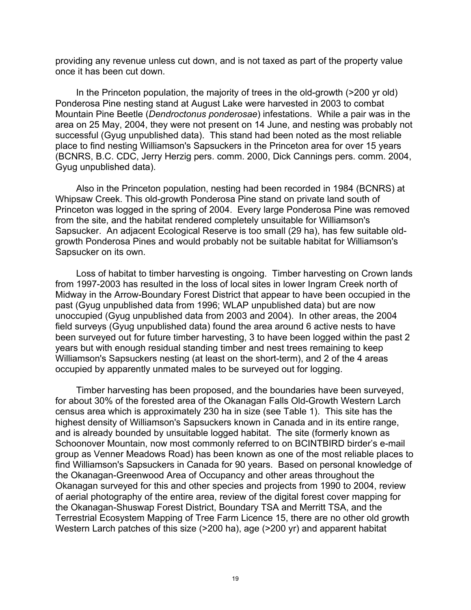providing any revenue unless cut down, and is not taxed as part of the property value once it has been cut down.

In the Princeton population, the majority of trees in the old-growth (>200 yr old) Ponderosa Pine nesting stand at August Lake were harvested in 2003 to combat Mountain Pine Beetle (*Dendroctonus ponderosae*) infestations. While a pair was in the area on 25 May, 2004, they were not present on 14 June, and nesting was probably not successful (Gyug unpublished data). This stand had been noted as the most reliable place to find nesting Williamson's Sapsuckers in the Princeton area for over 15 years (BCNRS, B.C. CDC, Jerry Herzig pers. comm. 2000, Dick Cannings pers. comm. 2004, Gyug unpublished data).

Also in the Princeton population, nesting had been recorded in 1984 (BCNRS) at Whipsaw Creek. This old-growth Ponderosa Pine stand on private land south of Princeton was logged in the spring of 2004. Every large Ponderosa Pine was removed from the site, and the habitat rendered completely unsuitable for Williamson's Sapsucker. An adjacent Ecological Reserve is too small (29 ha), has few suitable oldgrowth Ponderosa Pines and would probably not be suitable habitat for Williamson's Sapsucker on its own.

Loss of habitat to timber harvesting is ongoing. Timber harvesting on Crown lands from 1997-2003 has resulted in the loss of local sites in lower Ingram Creek north of Midway in the Arrow-Boundary Forest District that appear to have been occupied in the past (Gyug unpublished data from 1996; WLAP unpublished data) but are now unoccupied (Gyug unpublished data from 2003 and 2004). In other areas, the 2004 field surveys (Gyug unpublished data) found the area around 6 active nests to have been surveyed out for future timber harvesting, 3 to have been logged within the past 2 years but with enough residual standing timber and nest trees remaining to keep Williamson's Sapsuckers nesting (at least on the short-term), and 2 of the 4 areas occupied by apparently unmated males to be surveyed out for logging.

Timber harvesting has been proposed, and the boundaries have been surveyed, for about 30% of the forested area of the Okanagan Falls Old-Growth Western Larch census area which is approximately 230 ha in size (see Table 1). This site has the highest density of Williamson's Sapsuckers known in Canada and in its entire range, and is already bounded by unsuitable logged habitat. The site (formerly known as Schoonover Mountain, now most commonly referred to on BCINTBIRD birder's e-mail group as Venner Meadows Road) has been known as one of the most reliable places to find Williamson's Sapsuckers in Canada for 90 years. Based on personal knowledge of the Okanagan-Greenwood Area of Occupancy and other areas throughout the Okanagan surveyed for this and other species and projects from 1990 to 2004, review of aerial photography of the entire area, review of the digital forest cover mapping for the Okanagan-Shuswap Forest District, Boundary TSA and Merritt TSA, and the Terrestrial Ecosystem Mapping of Tree Farm Licence 15, there are no other old growth Western Larch patches of this size (>200 ha), age (>200 yr) and apparent habitat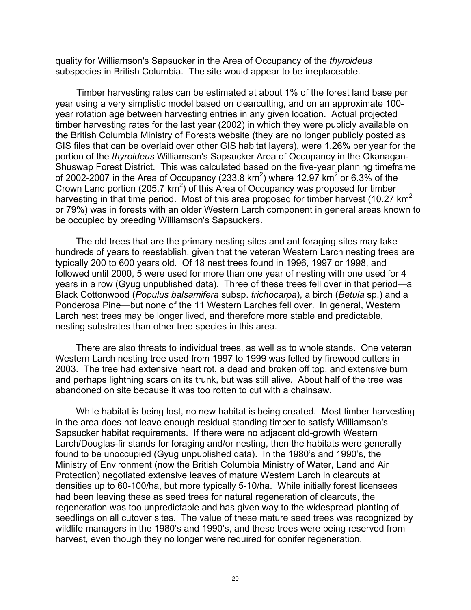quality for Williamson's Sapsucker in the Area of Occupancy of the *thyroideus* subspecies in British Columbia. The site would appear to be irreplaceable.

Timber harvesting rates can be estimated at about 1% of the forest land base per year using a very simplistic model based on clearcutting, and on an approximate 100 year rotation age between harvesting entries in any given location. Actual projected timber harvesting rates for the last year (2002) in which they were publicly available on the British Columbia Ministry of Forests website (they are no longer publicly posted as GIS files that can be overlaid over other GIS habitat layers), were 1.26% per year for the portion of the *thyroideus* Williamson's Sapsucker Area of Occupancy in the Okanagan-Shuswap Forest District. This was calculated based on the five-year planning timeframe of 2002-2007 in the Area of Occupancy (233.8 km<sup>2</sup>) where 12.97 km<sup>2</sup> or 6.3% of the Crown Land portion (205.7  $km^2$ ) of this Area of Occupancy was proposed for timber harvesting in that time period. Most of this area proposed for timber harvest (10.27  $km<sup>2</sup>$ ) or 79%) was in forests with an older Western Larch component in general areas known to be occupied by breeding Williamson's Sapsuckers.

The old trees that are the primary nesting sites and ant foraging sites may take hundreds of years to reestablish, given that the veteran Western Larch nesting trees are typically 200 to 600 years old. Of 18 nest trees found in 1996, 1997 or 1998, and followed until 2000, 5 were used for more than one year of nesting with one used for 4 years in a row (Gyug unpublished data). Three of these trees fell over in that period—a Black Cottonwood (*Populus balsamifera* subsp. *trichocarpa*), a birch (*Betula* sp.) and a Ponderosa Pine—but none of the 11 Western Larches fell over. In general, Western Larch nest trees may be longer lived, and therefore more stable and predictable, nesting substrates than other tree species in this area.

There are also threats to individual trees, as well as to whole stands. One veteran Western Larch nesting tree used from 1997 to 1999 was felled by firewood cutters in 2003. The tree had extensive heart rot, a dead and broken off top, and extensive burn and perhaps lightning scars on its trunk, but was still alive. About half of the tree was abandoned on site because it was too rotten to cut with a chainsaw.

While habitat is being lost, no new habitat is being created. Most timber harvesting in the area does not leave enough residual standing timber to satisfy Williamson's Sapsucker habitat requirements. If there were no adjacent old-growth Western Larch/Douglas-fir stands for foraging and/or nesting, then the habitats were generally found to be unoccupied (Gyug unpublished data). In the 1980's and 1990's, the Ministry of Environment (now the British Columbia Ministry of Water, Land and Air Protection) negotiated extensive leaves of mature Western Larch in clearcuts at densities up to 60-100/ha, but more typically 5-10/ha. While initially forest licensees had been leaving these as seed trees for natural regeneration of clearcuts, the regeneration was too unpredictable and has given way to the widespread planting of seedlings on all cutover sites. The value of these mature seed trees was recognized by wildlife managers in the 1980's and 1990's, and these trees were being reserved from harvest, even though they no longer were required for conifer regeneration.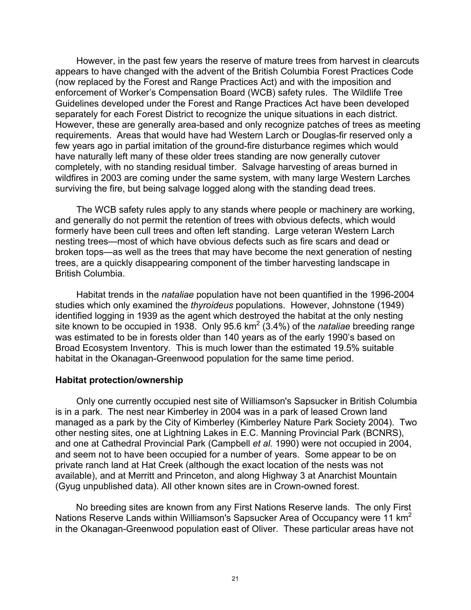However, in the past few years the reserve of mature trees from harvest in clearcuts appears to have changed with the advent of the British Columbia Forest Practices Code (now replaced by the Forest and Range Practices Act) and with the imposition and enforcement of Worker's Compensation Board (WCB) safety rules. The Wildlife Tree Guidelines developed under the Forest and Range Practices Act have been developed separately for each Forest District to recognize the unique situations in each district. However, these are generally area-based and only recognize patches of trees as meeting requirements. Areas that would have had Western Larch or Douglas-fir reserved only a few years ago in partial imitation of the ground-fire disturbance regimes which would have naturally left many of these older trees standing are now generally cutover completely, with no standing residual timber. Salvage harvesting of areas burned in wildfires in 2003 are coming under the same system, with many large Western Larches surviving the fire, but being salvage logged along with the standing dead trees.

The WCB safety rules apply to any stands where people or machinery are working, and generally do not permit the retention of trees with obvious defects, which would formerly have been cull trees and often left standing. Large veteran Western Larch nesting trees—most of which have obvious defects such as fire scars and dead or broken tops—as well as the trees that may have become the next generation of nesting trees, are a quickly disappearing component of the timber harvesting landscape in British Columbia.

Habitat trends in the *nataliae* population have not been quantified in the 1996-2004 studies which only examined the *thyroideus* populations. However, Johnstone (1949) identified logging in 1939 as the agent which destroyed the habitat at the only nesting site known to be occupied in 1938. Only 95.6 km<sup>2</sup> (3.4%) of the *nataliae* breeding range was estimated to be in forests older than 140 years as of the early 1990's based on Broad Ecosystem Inventory. This is much lower than the estimated 19.5% suitable habitat in the Okanagan-Greenwood population for the same time period.

#### **Habitat protection/ownership**

Only one currently occupied nest site of Williamson's Sapsucker in British Columbia is in a park. The nest near Kimberley in 2004 was in a park of leased Crown land managed as a park by the City of Kimberley (Kimberley Nature Park Society 2004). Two other nesting sites, one at Lightning Lakes in E.C. Manning Provincial Park (BCNRS), and one at Cathedral Provincial Park (Campbell *et al.* 1990) were not occupied in 2004, and seem not to have been occupied for a number of years. Some appear to be on private ranch land at Hat Creek (although the exact location of the nests was not available), and at Merritt and Princeton, and along Highway 3 at Anarchist Mountain (Gyug unpublished data). All other known sites are in Crown-owned forest.

No breeding sites are known from any First Nations Reserve lands. The only First Nations Reserve Lands within Williamson's Sapsucker Area of Occupancy were 11 km<sup>2</sup> in the Okanagan-Greenwood population east of Oliver. These particular areas have not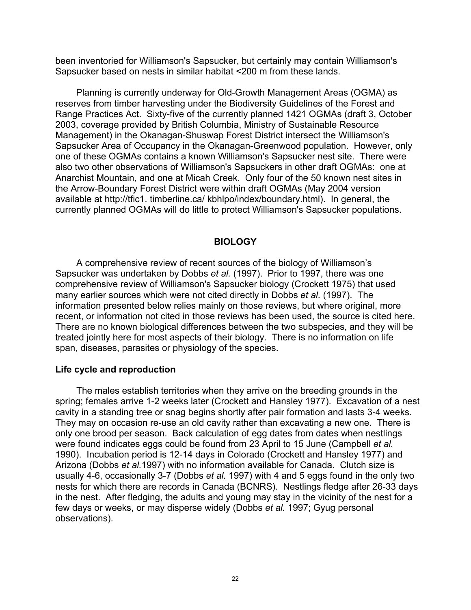been inventoried for Williamson's Sapsucker, but certainly may contain Williamson's Sapsucker based on nests in similar habitat <200 m from these lands.

Planning is currently underway for Old-Growth Management Areas (OGMA) as reserves from timber harvesting under the Biodiversity Guidelines of the Forest and Range Practices Act. Sixty-five of the currently planned 1421 OGMAs (draft 3, October 2003, coverage provided by British Columbia, Ministry of Sustainable Resource Management) in the Okanagan-Shuswap Forest District intersect the Williamson's Sapsucker Area of Occupancy in the Okanagan-Greenwood population. However, only one of these OGMAs contains a known Williamson's Sapsucker nest site. There were also two other observations of Williamson's Sapsuckers in other draft OGMAs: one at Anarchist Mountain, and one at Micah Creek. Only four of the 50 known nest sites in the Arrow-Boundary Forest District were within draft OGMAs (May 2004 version available at http://tfic1. timberline.ca/ kbhlpo/index/boundary.html). In general, the currently planned OGMAs will do little to protect Williamson's Sapsucker populations.

# **BIOLOGY**

A comprehensive review of recent sources of the biology of Williamson's Sapsucker was undertaken by Dobbs *et al.* (1997). Prior to 1997, there was one comprehensive review of Williamson's Sapsucker biology (Crockett 1975) that used many earlier sources which were not cited directly in Dobbs *et al.* (1997). The information presented below relies mainly on those reviews, but where original, more recent, or information not cited in those reviews has been used, the source is cited here. There are no known biological differences between the two subspecies, and they will be treated jointly here for most aspects of their biology. There is no information on life span, diseases, parasites or physiology of the species.

#### **Life cycle and reproduction**

The males establish territories when they arrive on the breeding grounds in the spring; females arrive 1-2 weeks later (Crockett and Hansley 1977). Excavation of a nest cavity in a standing tree or snag begins shortly after pair formation and lasts 3-4 weeks. They may on occasion re-use an old cavity rather than excavating a new one. There is only one brood per season. Back calculation of egg dates from dates when nestlings were found indicates eggs could be found from 23 April to 15 June (Campbell *et al.* 1990). Incubation period is 12-14 days in Colorado (Crockett and Hansley 1977) and Arizona (Dobbs *et al.*1997) with no information available for Canada. Clutch size is usually 4-6, occasionally 3-7 (Dobbs *et al.* 1997) with 4 and 5 eggs found in the only two nests for which there are records in Canada (BCNRS). Nestlings fledge after 26-33 days in the nest. After fledging, the adults and young may stay in the vicinity of the nest for a few days or weeks, or may disperse widely (Dobbs *et al.* 1997; Gyug personal observations).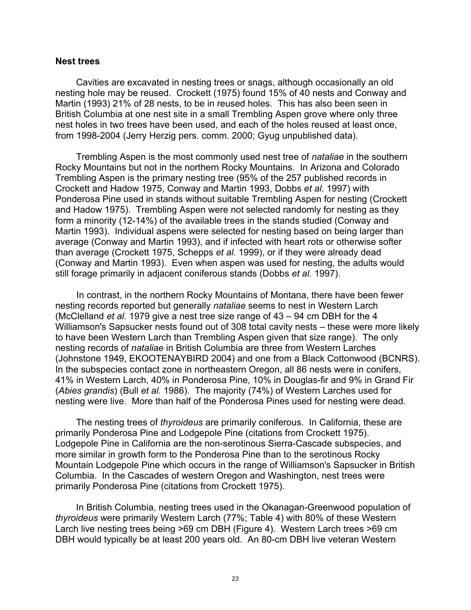#### **Nest trees**

Cavities are excavated in nesting trees or snags, although occasionally an old nesting hole may be reused. Crockett (1975) found 15% of 40 nests and Conway and Martin (1993) 21% of 28 nests, to be in reused holes. This has also been seen in British Columbia at one nest site in a small Trembling Aspen grove where only three nest holes in two trees have been used, and each of the holes reused at least once, from 1998-2004 (Jerry Herzig pers. comm. 2000; Gyug unpublished data).

Trembling Aspen is the most commonly used nest tree of *nataliae* in the southern Rocky Mountains but not in the northern Rocky Mountains. In Arizona and Colorado Trembling Aspen is the primary nesting tree (95% of the 257 published records in Crockett and Hadow 1975, Conway and Martin 1993, Dobbs *et al*. 1997) with Ponderosa Pine used in stands without suitable Trembling Aspen for nesting (Crockett and Hadow 1975). Trembling Aspen were not selected randomly for nesting as they form a minority (12-14%) of the available trees in the stands studied (Conway and Martin 1993). Individual aspens were selected for nesting based on being larger than average (Conway and Martin 1993), and if infected with heart rots or otherwise softer than average (Crockett 1975, Schepps *et al.* 1999), or if they were already dead (Conway and Martin 1993). Even when aspen was used for nesting, the adults would still forage primarily in adjacent coniferous stands (Dobbs *et al.* 1997).

In contrast, in the northern Rocky Mountains of Montana, there have been fewer nesting records reported but generally *nataliae* seems to nest in Western Larch (McClelland *et al.* 1979 give a nest tree size range of 43 – 94 cm DBH for the 4 Williamson's Sapsucker nests found out of 308 total cavity nests – these were more likely to have been Western Larch than Trembling Aspen given that size range). The only nesting records of *nataliae* in British Columbia are three from Western Larches (Johnstone 1949, EKOOTENAYBIRD 2004) and one from a Black Cottonwood (BCNRS). In the subspecies contact zone in northeastern Oregon, all 86 nests were in conifers, 41% in Western Larch, 40% in Ponderosa Pine, 10% in Douglas-fir and 9% in Grand Fir (*Abies grandis*) (Bull *et al.* 1986). The majority (74%) of Western Larches used for nesting were live. More than half of the Ponderosa Pines used for nesting were dead.

The nesting trees of *thyroideus* are primarily coniferous. In California, these are primarily Ponderosa Pine and Lodgepole Pine (citations from Crockett 1975). Lodgepole Pine in California are the non-serotinous Sierra-Cascade subspecies, and more similar in growth form to the Ponderosa Pine than to the serotinous Rocky Mountain Lodgepole Pine which occurs in the range of Williamson's Sapsucker in British Columbia. In the Cascades of western Oregon and Washington, nest trees were primarily Ponderosa Pine (citations from Crockett 1975).

In British Columbia, nesting trees used in the Okanagan-Greenwood population of *thyroideus* were primarily Western Larch (77%; Table 4) with 80% of these Western Larch live nesting trees being >69 cm DBH (Figure 4). Western Larch trees >69 cm DBH would typically be at least 200 years old. An 80-cm DBH live veteran Western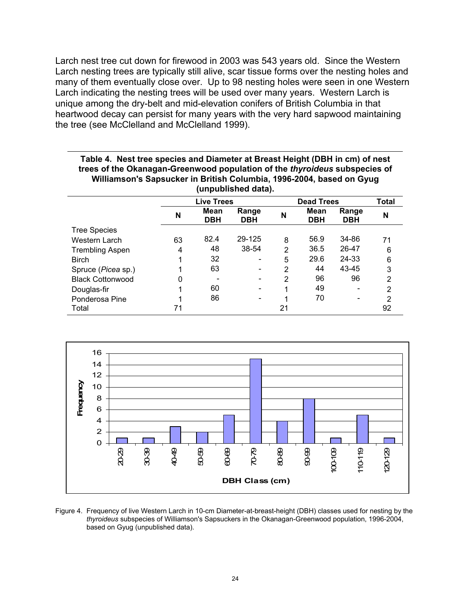Larch nest tree cut down for firewood in 2003 was 543 years old. Since the Western Larch nesting trees are typically still alive, scar tissue forms over the nesting holes and many of them eventually close over. Up to 98 nesting holes were seen in one Western Larch indicating the nesting trees will be used over many years. Western Larch is unique among the dry-belt and mid-elevation conifers of British Columbia in that heartwood decay can persist for many years with the very hard sapwood maintaining the tree (see McClelland and McClelland 1999).

**Table 4. Nest tree species and Diameter at Breast Height (DBH in cm) of nest trees of the Okanagan-Greenwood population of the** *thyroideus* **subspecies of** 

| Williamson's Sapsucker in British Columbia, 1996-2004, based on Gyug<br>(unpublished data). |    |                    |                     |                |                           |                     |    |  |  |  |  |
|---------------------------------------------------------------------------------------------|----|--------------------|---------------------|----------------|---------------------------|---------------------|----|--|--|--|--|
|                                                                                             |    | Live Trees         |                     |                | <b>Dead Trees</b>         |                     |    |  |  |  |  |
|                                                                                             | N  | Mean<br><b>DBH</b> | Range<br><b>DBH</b> | N              | <b>Mean</b><br><b>DBH</b> | Range<br><b>DBH</b> | N  |  |  |  |  |
| <b>Tree Species</b>                                                                         |    |                    |                     |                |                           |                     |    |  |  |  |  |
| Western Larch                                                                               | 63 | 82.4               | 29-125              | 8              | 56.9                      | 34-86               | 71 |  |  |  |  |
| <b>Trembling Aspen</b>                                                                      | 4  | 48                 | 38-54               | $\overline{2}$ | 36.5                      | 26-47               | 6  |  |  |  |  |
| <b>Birch</b>                                                                                |    | 32                 |                     | 5              | 29.6                      | 24-33               | 6  |  |  |  |  |
| Spruce ( <i>Picea</i> sp.)                                                                  |    | 63                 |                     | 2              | 44                        | 43-45               | 3  |  |  |  |  |
| <b>Black Cottonwood</b>                                                                     | 0  |                    |                     | 2              | 96                        | 96                  | 2  |  |  |  |  |
| Douglas-fir                                                                                 |    | 60                 |                     |                | 49                        |                     | 2  |  |  |  |  |
| Ponderosa Pine                                                                              |    | 86                 |                     |                | 70                        |                     | 2  |  |  |  |  |
| Total                                                                                       | 71 |                    |                     | 21             |                           |                     | 92 |  |  |  |  |



Figure 4. Frequency of live Western Larch in 10-cm Diameter-at-breast-height (DBH) classes used for nesting by the *thyroideus* subspecies of Williamson's Sapsuckers in the Okanagan-Greenwood population, 1996-2004, based on Gyug (unpublished data).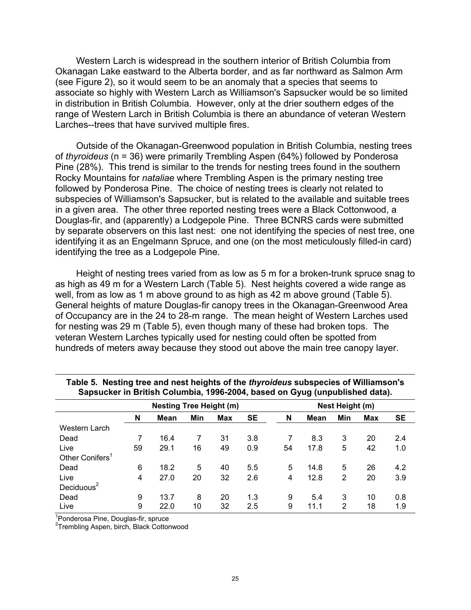Western Larch is widespread in the southern interior of British Columbia from Okanagan Lake eastward to the Alberta border, and as far northward as Salmon Arm (see Figure 2), so it would seem to be an anomaly that a species that seems to associate so highly with Western Larch as Williamson's Sapsucker would be so limited in distribution in British Columbia. However, only at the drier southern edges of the range of Western Larch in British Columbia is there an abundance of veteran Western Larches--trees that have survived multiple fires.

Outside of the Okanagan-Greenwood population in British Columbia, nesting trees of *thyroideus* (n = 36) were primarily Trembling Aspen (64%) followed by Ponderosa Pine (28%). This trend is similar to the trends for nesting trees found in the southern Rocky Mountains for *nataliae* where Trembling Aspen is the primary nesting tree followed by Ponderosa Pine. The choice of nesting trees is clearly not related to subspecies of Williamson's Sapsucker, but is related to the available and suitable trees in a given area. The other three reported nesting trees were a Black Cottonwood, a Douglas-fir, and (apparently) a Lodgepole Pine. Three BCNRS cards were submitted by separate observers on this last nest: one not identifying the species of nest tree, one identifying it as an Engelmann Spruce, and one (on the most meticulously filled-in card) identifying the tree as a Lodgepole Pine.

Height of nesting trees varied from as low as 5 m for a broken-trunk spruce snag to as high as 49 m for a Western Larch (Table 5). Nest heights covered a wide range as well, from as low as 1 m above ground to as high as 42 m above ground (Table 5). General heights of mature Douglas-fir canopy trees in the Okanagan-Greenwood Area of Occupancy are in the 24 to 28-m range. The mean height of Western Larches used for nesting was 29 m (Table 5), even though many of these had broken tops. The veteran Western Larches typically used for nesting could often be spotted from hundreds of meters away because they stood out above the main tree canopy layer.

| <u>odpodonoj ili Brition Goldmoidj Tood Evo IJ odood on Gydy (dirpablichod data) i</u> |    |                                |     |            |                 |    |      |     |            |           |  |
|----------------------------------------------------------------------------------------|----|--------------------------------|-----|------------|-----------------|----|------|-----|------------|-----------|--|
|                                                                                        |    | <b>Nesting Tree Height (m)</b> |     |            | Nest Height (m) |    |      |     |            |           |  |
|                                                                                        | N  | Mean                           | Min | <b>Max</b> | <b>SE</b>       | N  | Mean | Min | <b>Max</b> | <b>SE</b> |  |
| Western Larch                                                                          |    |                                |     |            |                 |    |      |     |            |           |  |
| Dead                                                                                   |    | 16.4                           |     | 31         | 3.8             |    | 8.3  | 3   | 20         | 2.4       |  |
| Live                                                                                   | 59 | 29.1                           | 16  | 49         | 0.9             | 54 | 17.8 | 5   | 42         | 1.0       |  |
| Other Conifers <sup>1</sup>                                                            |    |                                |     |            |                 |    |      |     |            |           |  |
| Dead                                                                                   | 6  | 18.2                           | 5   | 40         | 5.5             | 5  | 14.8 | 5   | 26         | 4.2       |  |
| Live                                                                                   | 4  | 27.0                           | 20  | 32         | 2.6             | 4  | 12.8 | 2   | 20         | 3.9       |  |
| Deciduous $2$                                                                          |    |                                |     |            |                 |    |      |     |            |           |  |
| Dead                                                                                   | 9  | 13.7                           | 8   | 20         | 1.3             | 9  | 5.4  | 3   | 10         | 0.8       |  |
| Live                                                                                   | 9  | 22.0                           | 10  | 32         | 2.5             | 9  | 11.1 | 2   | 18         | 1.9       |  |

|  |  |  |  | Table 5. Nesting tree and nest heights of the thyroideus subspecies of Williamson's |  |
|--|--|--|--|-------------------------------------------------------------------------------------|--|
|  |  |  |  | Sapsucker in British Columbia, 1996-2004, based on Gyug (unpublished data).         |  |

<sup>1</sup>Ponderosa Pine, Douglas-fir, spruce

<sup>2</sup>Trembling Aspen, birch, Black Cottonwood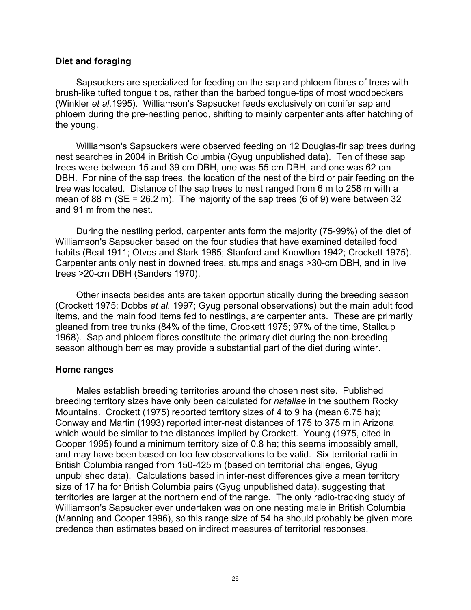#### **Diet and foraging**

Sapsuckers are specialized for feeding on the sap and phloem fibres of trees with brush-like tufted tongue tips, rather than the barbed tongue-tips of most woodpeckers (Winkler *et al.*1995). Williamson's Sapsucker feeds exclusively on conifer sap and phloem during the pre-nestling period, shifting to mainly carpenter ants after hatching of the young.

Williamson's Sapsuckers were observed feeding on 12 Douglas-fir sap trees during nest searches in 2004 in British Columbia (Gyug unpublished data). Ten of these sap trees were between 15 and 39 cm DBH, one was 55 cm DBH, and one was 62 cm DBH. For nine of the sap trees, the location of the nest of the bird or pair feeding on the tree was located. Distance of the sap trees to nest ranged from 6 m to 258 m with a mean of 88 m ( $SE = 26.2$  m). The majority of the sap trees (6 of 9) were between 32 and 91 m from the nest.

During the nestling period, carpenter ants form the majority (75-99%) of the diet of Williamson's Sapsucker based on the four studies that have examined detailed food habits (Beal 1911; Otvos and Stark 1985; Stanford and Knowlton 1942; Crockett 1975). Carpenter ants only nest in downed trees, stumps and snags >30-cm DBH, and in live trees >20-cm DBH (Sanders 1970).

Other insects besides ants are taken opportunistically during the breeding season (Crockett 1975; Dobbs *et al.* 1997; Gyug personal observations) but the main adult food items, and the main food items fed to nestlings, are carpenter ants. These are primarily gleaned from tree trunks (84% of the time, Crockett 1975; 97% of the time, Stallcup 1968). Sap and phloem fibres constitute the primary diet during the non-breeding season although berries may provide a substantial part of the diet during winter.

#### **Home ranges**

Males establish breeding territories around the chosen nest site. Published breeding territory sizes have only been calculated for *nataliae* in the southern Rocky Mountains. Crockett (1975) reported territory sizes of 4 to 9 ha (mean 6.75 ha); Conway and Martin (1993) reported inter-nest distances of 175 to 375 m in Arizona which would be similar to the distances implied by Crockett. Young (1975, cited in Cooper 1995) found a minimum territory size of 0.8 ha; this seems impossibly small, and may have been based on too few observations to be valid. Six territorial radii in British Columbia ranged from 150-425 m (based on territorial challenges, Gyug unpublished data). Calculations based in inter-nest differences give a mean territory size of 17 ha for British Columbia pairs (Gyug unpublished data), suggesting that territories are larger at the northern end of the range. The only radio-tracking study of Williamson's Sapsucker ever undertaken was on one nesting male in British Columbia (Manning and Cooper 1996), so this range size of 54 ha should probably be given more credence than estimates based on indirect measures of territorial responses.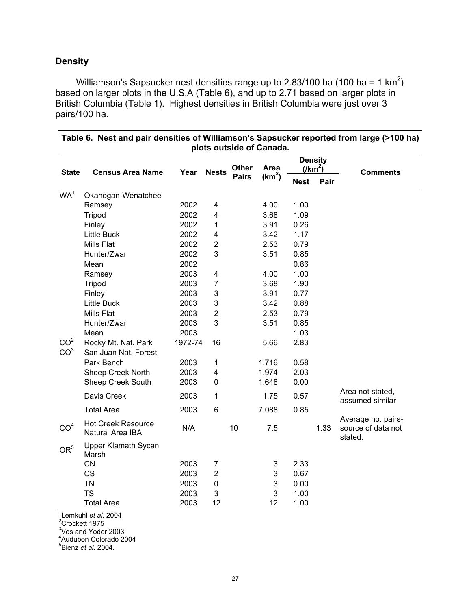# **Density**

Williamson's Sapsucker nest densities range up to 2.83/100 ha (100 ha = 1 km<sup>2</sup>) based on larger plots in the U.S.A (Table 6), and up to 2.71 based on larger plots in British Columbia (Table 1). Highest densities in British Columbia were just over 3 pairs/100 ha.

|                                                                                                                                      | plots outside of Canada.                      |         |                           |              |                    |             |      |                                                     |  |  |  |
|--------------------------------------------------------------------------------------------------------------------------------------|-----------------------------------------------|---------|---------------------------|--------------|--------------------|-------------|------|-----------------------------------------------------|--|--|--|
| <b>Density</b><br>Area<br><b>Other</b><br>$\frac{1}{\text{Km}^2}$<br>Year<br><b>State</b><br><b>Census Area Name</b><br><b>Nests</b> |                                               |         |                           |              |                    |             |      | <b>Comments</b>                                     |  |  |  |
|                                                                                                                                      |                                               |         |                           | <b>Pairs</b> | (km <sup>2</sup> ) | <b>Nest</b> | Pair |                                                     |  |  |  |
| WA <sup>1</sup>                                                                                                                      | Okanogan-Wenatchee                            |         |                           |              |                    |             |      |                                                     |  |  |  |
|                                                                                                                                      | Ramsey                                        | 2002    | 4                         |              | 4.00               | 1.00        |      |                                                     |  |  |  |
|                                                                                                                                      | Tripod                                        | 2002    | 4                         |              | 3.68               | 1.09        |      |                                                     |  |  |  |
|                                                                                                                                      | Finley                                        | 2002    | 1                         |              | 3.91               | 0.26        |      |                                                     |  |  |  |
|                                                                                                                                      | <b>Little Buck</b>                            | 2002    | 4                         |              | 3.42               | 1.17        |      |                                                     |  |  |  |
|                                                                                                                                      | <b>Mills Flat</b>                             | 2002    | $\mathbf 2$               |              | 2.53               | 0.79        |      |                                                     |  |  |  |
|                                                                                                                                      | Hunter/Zwar                                   | 2002    | 3                         |              | 3.51               | 0.85        |      |                                                     |  |  |  |
|                                                                                                                                      | Mean                                          | 2002    |                           |              |                    | 0.86        |      |                                                     |  |  |  |
|                                                                                                                                      | Ramsey                                        | 2003    | 4                         |              | 4.00               | 1.00        |      |                                                     |  |  |  |
|                                                                                                                                      | Tripod                                        | 2003    | $\overline{7}$            |              | 3.68               | 1.90        |      |                                                     |  |  |  |
|                                                                                                                                      | Finley                                        | 2003    | $\ensuremath{\mathsf{3}}$ |              | 3.91               | 0.77        |      |                                                     |  |  |  |
|                                                                                                                                      | <b>Little Buck</b>                            | 2003    | 3                         |              | 3.42               | 0.88        |      |                                                     |  |  |  |
|                                                                                                                                      | <b>Mills Flat</b>                             | 2003    | $\mathbf 2$               |              | 2.53               | 0.79        |      |                                                     |  |  |  |
|                                                                                                                                      | Hunter/Zwar                                   | 2003    | 3                         |              | 3.51               | 0.85        |      |                                                     |  |  |  |
|                                                                                                                                      | Mean                                          | 2003    |                           |              |                    | 1.03        |      |                                                     |  |  |  |
| CO <sup>2</sup>                                                                                                                      | Rocky Mt. Nat. Park                           | 1972-74 | 16                        |              | 5.66               | 2.83        |      |                                                     |  |  |  |
| CO <sup>3</sup>                                                                                                                      | San Juan Nat. Forest                          |         |                           |              |                    |             |      |                                                     |  |  |  |
|                                                                                                                                      | Park Bench                                    | 2003    | $\mathbf 1$               |              | 1.716              | 0.58        |      |                                                     |  |  |  |
|                                                                                                                                      | Sheep Creek North                             | 2003    | 4                         |              | 1.974              | 2.03        |      |                                                     |  |  |  |
|                                                                                                                                      | Sheep Creek South                             | 2003    | 0                         |              | 1.648              | 0.00        |      |                                                     |  |  |  |
|                                                                                                                                      | Davis Creek                                   | 2003    | 1                         |              | 1.75               | 0.57        |      | Area not stated,<br>assumed similar                 |  |  |  |
|                                                                                                                                      | <b>Total Area</b>                             | 2003    | 6                         |              | 7.088              | 0.85        |      |                                                     |  |  |  |
| CO <sup>4</sup>                                                                                                                      | <b>Hot Creek Resource</b><br>Natural Area IBA | N/A     |                           | 10           | 7.5                |             | 1.33 | Average no. pairs-<br>source of data not<br>stated. |  |  |  |
| OR <sup>5</sup>                                                                                                                      | Upper Klamath Sycan<br>Marsh                  |         |                           |              |                    |             |      |                                                     |  |  |  |
|                                                                                                                                      | <b>CN</b>                                     | 2003    | $\overline{7}$            |              | 3                  | 2.33        |      |                                                     |  |  |  |
|                                                                                                                                      | <b>CS</b>                                     | 2003    | $\overline{2}$            |              | 3                  | 0.67        |      |                                                     |  |  |  |
|                                                                                                                                      | <b>TN</b>                                     | 2003    | $\pmb{0}$                 |              | 3                  | 0.00        |      |                                                     |  |  |  |
|                                                                                                                                      | <b>TS</b>                                     | 2003    | 3                         |              | 3                  | 1.00        |      |                                                     |  |  |  |
|                                                                                                                                      | <b>Total Area</b>                             | 2003    | 12                        |              | 12                 | 1.00        |      |                                                     |  |  |  |

**Table 6. Nest and pair densities of Williamson's Sapsucker reported from large (>100 ha)** 

<sup>1</sup>Lemkuhl *et al*. 2004<br><sup>2</sup>Crockett 1975<br><sup>3</sup>Vos and Yoder 2003

4 Audubon Colorado 2004

5 Bienz *et al*. 2004.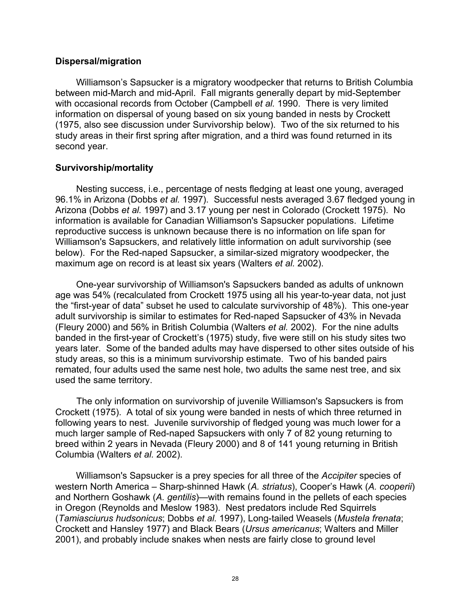# **Dispersal/migration**

Williamson's Sapsucker is a migratory woodpecker that returns to British Columbia between mid-March and mid-April. Fall migrants generally depart by mid-September with occasional records from October (Campbell *et al.* 1990. There is very limited information on dispersal of young based on six young banded in nests by Crockett (1975, also see discussion under Survivorship below). Two of the six returned to his study areas in their first spring after migration, and a third was found returned in its second year.

# **Survivorship/mortality**

Nesting success, i.e., percentage of nests fledging at least one young, averaged 96.1% in Arizona (Dobbs *et al.* 1997). Successful nests averaged 3.67 fledged young in Arizona (Dobbs *et al.* 1997) and 3.17 young per nest in Colorado (Crockett 1975). No information is available for Canadian Williamson's Sapsucker populations. Lifetime reproductive success is unknown because there is no information on life span for Williamson's Sapsuckers, and relatively little information on adult survivorship (see below). For the Red-naped Sapsucker, a similar-sized migratory woodpecker, the maximum age on record is at least six years (Walters *et al.* 2002).

One-year survivorship of Williamson's Sapsuckers banded as adults of unknown age was 54% (recalculated from Crockett 1975 using all his year-to-year data, not just the "first-year of data" subset he used to calculate survivorship of 48%). This one-year adult survivorship is similar to estimates for Red-naped Sapsucker of 43% in Nevada (Fleury 2000) and 56% in British Columbia (Walters *et al.* 2002). For the nine adults banded in the first-year of Crockett's (1975) study, five were still on his study sites two years later. Some of the banded adults may have dispersed to other sites outside of his study areas, so this is a minimum survivorship estimate. Two of his banded pairs remated, four adults used the same nest hole, two adults the same nest tree, and six used the same territory.

The only information on survivorship of juvenile Williamson's Sapsuckers is from Crockett (1975). A total of six young were banded in nests of which three returned in following years to nest. Juvenile survivorship of fledged young was much lower for a much larger sample of Red-naped Sapsuckers with only 7 of 82 young returning to breed within 2 years in Nevada (Fleury 2000) and 8 of 141 young returning in British Columbia (Walters *et al.* 2002).

Williamson's Sapsucker is a prey species for all three of the *Accipiter* species of western North America – Sharp-shinned Hawk (*A. striatus*), Cooper's Hawk (*A. cooperii*) and Northern Goshawk (*A. gentilis*)—with remains found in the pellets of each species in Oregon (Reynolds and Meslow 1983). Nest predators include Red Squirrels (*Tamiasciurus hudsonicus*; Dobbs *et al.* 1997), Long-tailed Weasels (*Mustela frenata*; Crockett and Hansley 1977) and Black Bears (*Ursus americanus*; Walters and Miller 2001), and probably include snakes when nests are fairly close to ground level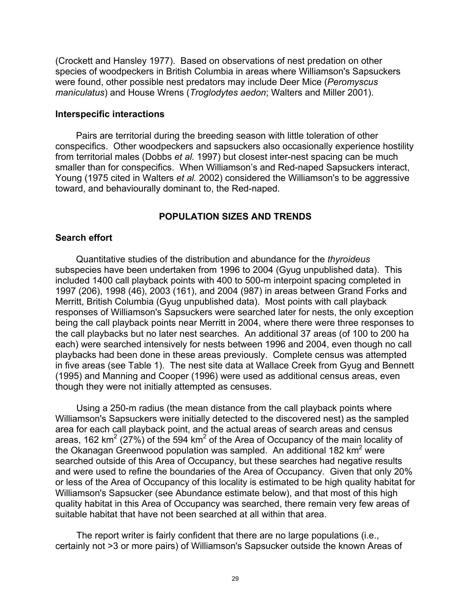(Crockett and Hansley 1977). Based on observations of nest predation on other species of woodpeckers in British Columbia in areas where Williamson's Sapsuckers were found, other possible nest predators may include Deer Mice (*Peromyscus maniculatus*) and House Wrens (*Troglodytes aedon*; Walters and Miller 2001).

#### **Interspecific interactions**

Pairs are territorial during the breeding season with little toleration of other conspecifics. Other woodpeckers and sapsuckers also occasionally experience hostility from territorial males (Dobbs *et al.* 1997) but closest inter-nest spacing can be much smaller than for conspecifics. When Williamson's and Red-naped Sapsuckers interact, Young (1975 cited in Walters *et al.* 2002) considered the Williamson's to be aggressive toward, and behaviourally dominant to, the Red-naped.

# **POPULATION SIZES AND TRENDS**

# **Search effort**

Quantitative studies of the distribution and abundance for the *thyroideus* subspecies have been undertaken from 1996 to 2004 (Gyug unpublished data). This included 1400 call playback points with 400 to 500-m interpoint spacing completed in 1997 (206), 1998 (46), 2003 (161), and 2004 (987) in areas between Grand Forks and Merritt, British Columbia (Gyug unpublished data). Most points with call playback responses of Williamson's Sapsuckers were searched later for nests, the only exception being the call playback points near Merritt in 2004, where there were three responses to the call playbacks but no later nest searches. An additional 37 areas (of 100 to 200 ha each) were searched intensively for nests between 1996 and 2004, even though no call playbacks had been done in these areas previously. Complete census was attempted in five areas (see Table 1). The nest site data at Wallace Creek from Gyug and Bennett (1995) and Manning and Cooper (1996) were used as additional census areas, even though they were not initially attempted as censuses.

Using a 250-m radius (the mean distance from the call playback points where Williamson's Sapsuckers were initially detected to the discovered nest) as the sampled area for each call playback point, and the actual areas of search areas and census areas, 162 km<sup>2</sup> (27%) of the 594 km<sup>2</sup> of the Area of Occupancy of the main locality of the Okanagan Greenwood population was sampled. An additional 182 km<sup>2</sup> were searched outside of this Area of Occupancy, but these searches had negative results and were used to refine the boundaries of the Area of Occupancy. Given that only 20% or less of the Area of Occupancy of this locality is estimated to be high quality habitat for Williamson's Sapsucker (see Abundance estimate below), and that most of this high quality habitat in this Area of Occupancy was searched, there remain very few areas of suitable habitat that have not been searched at all within that area.

The report writer is fairly confident that there are no large populations (i.e., certainly not >3 or more pairs) of Williamson's Sapsucker outside the known Areas of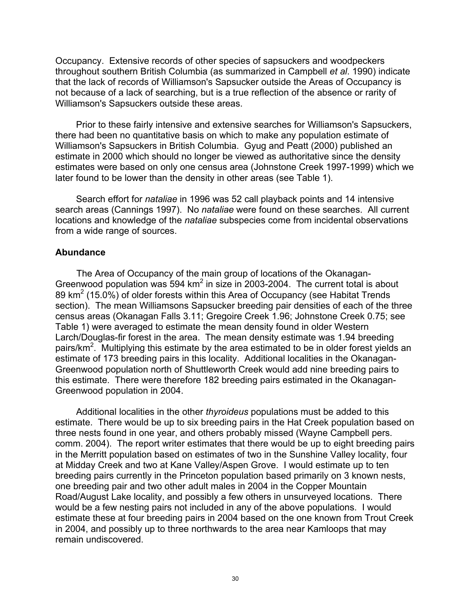Occupancy. Extensive records of other species of sapsuckers and woodpeckers throughout southern British Columbia (as summarized in Campbell *et al*. 1990) indicate that the lack of records of Williamson's Sapsucker outside the Areas of Occupancy is not because of a lack of searching, but is a true reflection of the absence or rarity of Williamson's Sapsuckers outside these areas.

Prior to these fairly intensive and extensive searches for Williamson's Sapsuckers, there had been no quantitative basis on which to make any population estimate of Williamson's Sapsuckers in British Columbia. Gyug and Peatt (2000) published an estimate in 2000 which should no longer be viewed as authoritative since the density estimates were based on only one census area (Johnstone Creek 1997-1999) which we later found to be lower than the density in other areas (see Table 1).

Search effort for *nataliae* in 1996 was 52 call playback points and 14 intensive search areas (Cannings 1997). No *nataliae* were found on these searches. All current locations and knowledge of the *nataliae* subspecies come from incidental observations from a wide range of sources.

# **Abundance**

The Area of Occupancy of the main group of locations of the Okanagan-Greenwood population was  $594 \text{ km}^2$  in size in 2003-2004. The current total is about 89 km<sup>2</sup> (15.0%) of older forests within this Area of Occupancy (see Habitat Trends section). The mean Williamsons Sapsucker breeding pair densities of each of the three census areas (Okanagan Falls 3.11; Gregoire Creek 1.96; Johnstone Creek 0.75; see Table 1) were averaged to estimate the mean density found in older Western Larch/Douglas-fir forest in the area. The mean density estimate was 1.94 breeding pairs/km<sup>2</sup>. Multiplying this estimate by the area estimated to be in older forest yields an estimate of 173 breeding pairs in this locality. Additional localities in the Okanagan-Greenwood population north of Shuttleworth Creek would add nine breeding pairs to this estimate. There were therefore 182 breeding pairs estimated in the Okanagan-Greenwood population in 2004.

Additional localities in the other *thyroideus* populations must be added to this estimate. There would be up to six breeding pairs in the Hat Creek population based on three nests found in one year, and others probably missed (Wayne Campbell pers. comm. 2004). The report writer estimates that there would be up to eight breeding pairs in the Merritt population based on estimates of two in the Sunshine Valley locality, four at Midday Creek and two at Kane Valley/Aspen Grove. I would estimate up to ten breeding pairs currently in the Princeton population based primarily on 3 known nests, one breeding pair and two other adult males in 2004 in the Copper Mountain Road/August Lake locality, and possibly a few others in unsurveyed locations. There would be a few nesting pairs not included in any of the above populations. I would estimate these at four breeding pairs in 2004 based on the one known from Trout Creek in 2004, and possibly up to three northwards to the area near Kamloops that may remain undiscovered.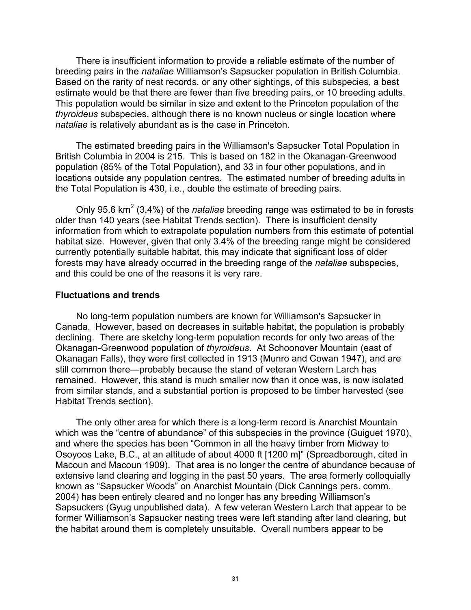There is insufficient information to provide a reliable estimate of the number of breeding pairs in the *nataliae* Williamson's Sapsucker population in British Columbia. Based on the rarity of nest records, or any other sightings, of this subspecies, a best estimate would be that there are fewer than five breeding pairs, or 10 breeding adults. This population would be similar in size and extent to the Princeton population of the *thyroideus* subspecies, although there is no known nucleus or single location where *nataliae* is relatively abundant as is the case in Princeton.

The estimated breeding pairs in the Williamson's Sapsucker Total Population in British Columbia in 2004 is 215. This is based on 182 in the Okanagan-Greenwood population (85% of the Total Population), and 33 in four other populations, and in locations outside any population centres. The estimated number of breeding adults in the Total Population is 430, i.e., double the estimate of breeding pairs.

Only 95.6 km<sup>2</sup> (3.4%) of the *nataliae* breeding range was estimated to be in forests older than 140 years (see Habitat Trends section). There is insufficient density information from which to extrapolate population numbers from this estimate of potential habitat size. However, given that only 3.4% of the breeding range might be considered currently potentially suitable habitat, this may indicate that significant loss of older forests may have already occurred in the breeding range of the *nataliae* subspecies, and this could be one of the reasons it is very rare.

#### **Fluctuations and trends**

No long-term population numbers are known for Williamson's Sapsucker in Canada. However, based on decreases in suitable habitat, the population is probably declining. There are sketchy long-term population records for only two areas of the Okanagan-Greenwood population of *thyroideus*. At Schoonover Mountain (east of Okanagan Falls), they were first collected in 1913 (Munro and Cowan 1947), and are still common there—probably because the stand of veteran Western Larch has remained. However, this stand is much smaller now than it once was, is now isolated from similar stands, and a substantial portion is proposed to be timber harvested (see Habitat Trends section).

The only other area for which there is a long-term record is Anarchist Mountain which was the "centre of abundance" of this subspecies in the province (Guiguet 1970), and where the species has been "Common in all the heavy timber from Midway to Osoyoos Lake, B.C., at an altitude of about 4000 ft [1200 m]" (Spreadborough, cited in Macoun and Macoun 1909). That area is no longer the centre of abundance because of extensive land clearing and logging in the past 50 years. The area formerly colloquially known as "Sapsucker Woods" on Anarchist Mountain (Dick Cannings pers. comm. 2004) has been entirely cleared and no longer has any breeding Williamson's Sapsuckers (Gyug unpublished data). A few veteran Western Larch that appear to be former Williamson's Sapsucker nesting trees were left standing after land clearing, but the habitat around them is completely unsuitable. Overall numbers appear to be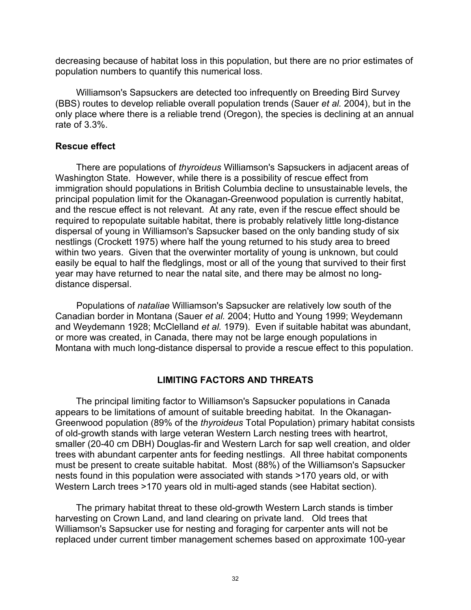decreasing because of habitat loss in this population, but there are no prior estimates of population numbers to quantify this numerical loss.

Williamson's Sapsuckers are detected too infrequently on Breeding Bird Survey (BBS) routes to develop reliable overall population trends (Sauer *et al.* 2004), but in the only place where there is a reliable trend (Oregon), the species is declining at an annual rate of 3.3%.

# **Rescue effect**

There are populations of *thyroideus* Williamson's Sapsuckers in adjacent areas of Washington State. However, while there is a possibility of rescue effect from immigration should populations in British Columbia decline to unsustainable levels, the principal population limit for the Okanagan-Greenwood population is currently habitat, and the rescue effect is not relevant. At any rate, even if the rescue effect should be required to repopulate suitable habitat, there is probably relatively little long-distance dispersal of young in Williamson's Sapsucker based on the only banding study of six nestlings (Crockett 1975) where half the young returned to his study area to breed within two years. Given that the overwinter mortality of young is unknown, but could easily be equal to half the fledglings, most or all of the young that survived to their first year may have returned to near the natal site, and there may be almost no longdistance dispersal.

Populations of *nataliae* Williamson's Sapsucker are relatively low south of the Canadian border in Montana (Sauer *et al.* 2004; Hutto and Young 1999; Weydemann and Weydemann 1928; McClelland *et al.* 1979). Even if suitable habitat was abundant, or more was created, in Canada, there may not be large enough populations in Montana with much long-distance dispersal to provide a rescue effect to this population.

# **LIMITING FACTORS AND THREATS**

The principal limiting factor to Williamson's Sapsucker populations in Canada appears to be limitations of amount of suitable breeding habitat. In the Okanagan-Greenwood population (89% of the *thyroideus* Total Population) primary habitat consists of old-growth stands with large veteran Western Larch nesting trees with heartrot, smaller (20-40 cm DBH) Douglas-fir and Western Larch for sap well creation, and older trees with abundant carpenter ants for feeding nestlings. All three habitat components must be present to create suitable habitat. Most (88%) of the Williamson's Sapsucker nests found in this population were associated with stands >170 years old, or with Western Larch trees >170 years old in multi-aged stands (see Habitat section).

The primary habitat threat to these old-growth Western Larch stands is timber harvesting on Crown Land, and land clearing on private land. Old trees that Williamson's Sapsucker use for nesting and foraging for carpenter ants will not be replaced under current timber management schemes based on approximate 100-year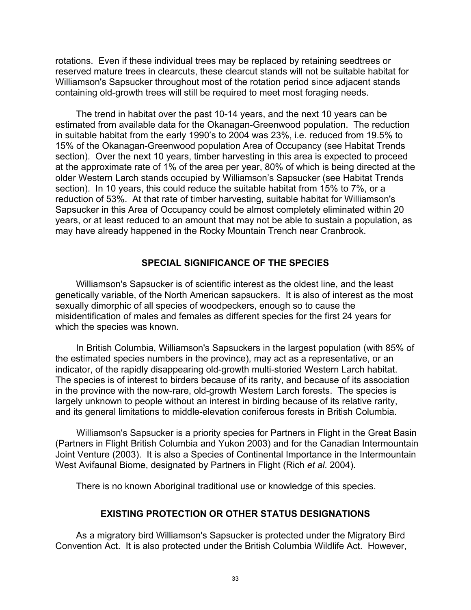rotations. Even if these individual trees may be replaced by retaining seedtrees or reserved mature trees in clearcuts, these clearcut stands will not be suitable habitat for Williamson's Sapsucker throughout most of the rotation period since adjacent stands containing old-growth trees will still be required to meet most foraging needs.

The trend in habitat over the past 10-14 years, and the next 10 years can be estimated from available data for the Okanagan-Greenwood population. The reduction in suitable habitat from the early 1990's to 2004 was 23%, i.e. reduced from 19.5% to 15% of the Okanagan-Greenwood population Area of Occupancy (see Habitat Trends section). Over the next 10 years, timber harvesting in this area is expected to proceed at the approximate rate of 1% of the area per year, 80% of which is being directed at the older Western Larch stands occupied by Williamson's Sapsucker (see Habitat Trends section). In 10 years, this could reduce the suitable habitat from 15% to 7%, or a reduction of 53%. At that rate of timber harvesting, suitable habitat for Williamson's Sapsucker in this Area of Occupancy could be almost completely eliminated within 20 years, or at least reduced to an amount that may not be able to sustain a population, as may have already happened in the Rocky Mountain Trench near Cranbrook.

# **SPECIAL SIGNIFICANCE OF THE SPECIES**

Williamson's Sapsucker is of scientific interest as the oldest line, and the least genetically variable, of the North American sapsuckers. It is also of interest as the most sexually dimorphic of all species of woodpeckers, enough so to cause the misidentification of males and females as different species for the first 24 years for which the species was known.

In British Columbia, Williamson's Sapsuckers in the largest population (with 85% of the estimated species numbers in the province), may act as a representative, or an indicator, of the rapidly disappearing old-growth multi-storied Western Larch habitat. The species is of interest to birders because of its rarity, and because of its association in the province with the now-rare, old-growth Western Larch forests. The species is largely unknown to people without an interest in birding because of its relative rarity, and its general limitations to middle-elevation coniferous forests in British Columbia.

Williamson's Sapsucker is a priority species for Partners in Flight in the Great Basin (Partners in Flight British Columbia and Yukon 2003) and for the Canadian Intermountain Joint Venture (2003). It is also a Species of Continental Importance in the Intermountain West Avifaunal Biome, designated by Partners in Flight (Rich *et al*. 2004).

There is no known Aboriginal traditional use or knowledge of this species.

# **EXISTING PROTECTION OR OTHER STATUS DESIGNATIONS**

As a migratory bird Williamson's Sapsucker is protected under the Migratory Bird Convention Act. It is also protected under the British Columbia Wildlife Act. However,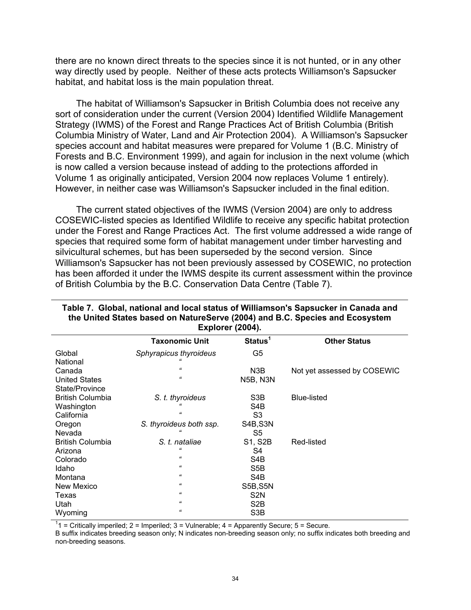there are no known direct threats to the species since it is not hunted, or in any other way directly used by people. Neither of these acts protects Williamson's Sapsucker habitat, and habitat loss is the main population threat.

The habitat of Williamson's Sapsucker in British Columbia does not receive any sort of consideration under the current (Version 2004) Identified Wildlife Management Strategy (IWMS) of the Forest and Range Practices Act of British Columbia (British Columbia Ministry of Water, Land and Air Protection 2004). A Williamson's Sapsucker species account and habitat measures were prepared for Volume 1 (B.C. Ministry of Forests and B.C. Environment 1999), and again for inclusion in the next volume (which is now called a version because instead of adding to the protections afforded in Volume 1 as originally anticipated, Version 2004 now replaces Volume 1 entirely). However, in neither case was Williamson's Sapsucker included in the final edition.

The current stated objectives of the IWMS (Version 2004) are only to address COSEWIC-listed species as Identified Wildlife to receive any specific habitat protection under the Forest and Range Practices Act. The first volume addressed a wide range of species that required some form of habitat management under timber harvesting and silvicultural schemes, but has been superseded by the second version. Since Williamson's Sapsucker has not been previously assessed by COSEWIC, no protection has been afforded it under the IWMS despite its current assessment within the province of British Columbia by the B.C. Conservation Data Centre (Table 7).

| <b>Explorer (2004).</b> |                         |                     |                             |  |
|-------------------------|-------------------------|---------------------|-----------------------------|--|
|                         | <b>Taxonomic Unit</b>   | Status <sup>1</sup> | <b>Other Status</b>         |  |
| Global                  | Sphyrapicus thyroideus  | G5                  |                             |  |
| National                |                         |                     |                             |  |
| Canada                  | $\epsilon\epsilon$      | N3B                 | Not yet assessed by COSEWIC |  |
| <b>United States</b>    | $\epsilon\epsilon$      | <b>N5B, N3N</b>     |                             |  |
| State/Province          |                         |                     |                             |  |
| <b>British Columbia</b> | S. t. thyroideus        | S3B                 | <b>Blue-listed</b>          |  |
| Washington              |                         | S4B                 |                             |  |
| California              | "                       | S3                  |                             |  |
| Oregon                  | S. thyroideus both ssp. | S4B,S3N             |                             |  |
| Nevada                  |                         | S5                  |                             |  |
| <b>British Columbia</b> | S. t. nataliae          | <b>S1, S2B</b>      | Red-listed                  |  |
| Arizona                 | $\epsilon$              | S4                  |                             |  |
| Colorado                | "                       | S4B                 |                             |  |
| Idaho                   | $\epsilon\epsilon$      | S <sub>5</sub> B    |                             |  |
| Montana                 | $\epsilon\epsilon$      | S4B                 |                             |  |
| New Mexico              | "                       | S5B, S5N            |                             |  |
| Texas                   | $\epsilon\epsilon$      | S <sub>2</sub> N    |                             |  |
| Utah                    | $\epsilon\epsilon$      | S <sub>2</sub> B    |                             |  |
| Wyoming                 | "                       | S3B                 |                             |  |

#### **Table 7. Global, national and local status of Williamson's Sapsucker in Canada and the United States based on NatureServe (2004) and B.C. Species and Ecosystem Explorer (2004).**

<sup>1</sup>1 = Critically imperiled; 2 = Imperiled; 3 = Vulnerable; 4 = Apparently Secure; 5 = Secure.

B suffix indicates breeding season only; N indicates non-breeding season only; no suffix indicates both breeding and non-breeding seasons.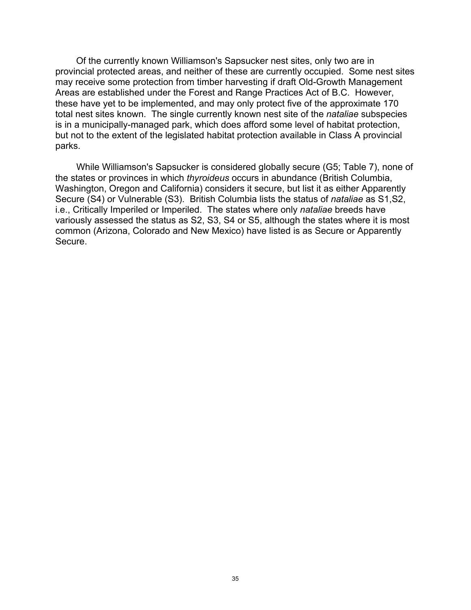Of the currently known Williamson's Sapsucker nest sites, only two are in provincial protected areas, and neither of these are currently occupied. Some nest sites may receive some protection from timber harvesting if draft Old-Growth Management Areas are established under the Forest and Range Practices Act of B.C. However, these have yet to be implemented, and may only protect five of the approximate 170 total nest sites known. The single currently known nest site of the *nataliae* subspecies is in a municipally-managed park, which does afford some level of habitat protection, but not to the extent of the legislated habitat protection available in Class A provincial parks.

While Williamson's Sapsucker is considered globally secure (G5; Table 7), none of the states or provinces in which *thyroideus* occurs in abundance (British Columbia, Washington, Oregon and California) considers it secure, but list it as either Apparently Secure (S4) or Vulnerable (S3). British Columbia lists the status of *nataliae* as S1,S2, i.e., Critically Imperiled or Imperiled. The states where only *nataliae* breeds have variously assessed the status as S2, S3, S4 or S5, although the states where it is most common (Arizona, Colorado and New Mexico) have listed is as Secure or Apparently Secure.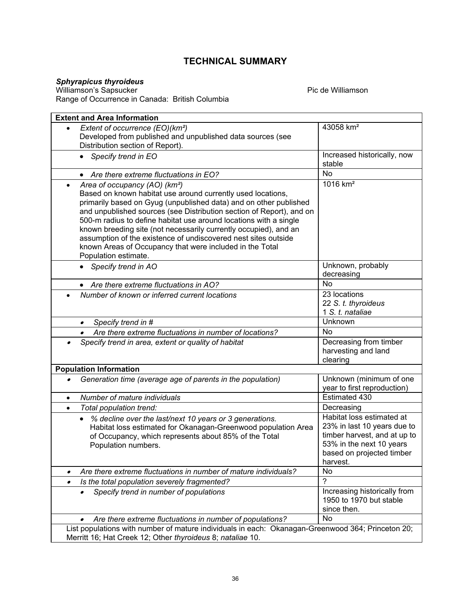# **TECHNICAL SUMMARY**

#### *Sphyrapicus thyroideus*

Williamson's Sapsucker Pic de Williamson Range of Occurrence in Canada: British Columbia

|                               | <b>Extent and Area Information</b>                                                                                                                                                                                                                                                                                                                                                                                                                                                                                                                   |                                                                                                                                                               |  |  |  |
|-------------------------------|------------------------------------------------------------------------------------------------------------------------------------------------------------------------------------------------------------------------------------------------------------------------------------------------------------------------------------------------------------------------------------------------------------------------------------------------------------------------------------------------------------------------------------------------------|---------------------------------------------------------------------------------------------------------------------------------------------------------------|--|--|--|
| $\bullet$                     | Extent of occurrence (EO)(km <sup>2</sup> )<br>Developed from published and unpublished data sources (see<br>Distribution section of Report).                                                                                                                                                                                                                                                                                                                                                                                                        | 43058 km <sup>2</sup>                                                                                                                                         |  |  |  |
|                               | • Specify trend in EO                                                                                                                                                                                                                                                                                                                                                                                                                                                                                                                                | Increased historically, now<br>stable                                                                                                                         |  |  |  |
|                               | • Are there extreme fluctuations in EO?                                                                                                                                                                                                                                                                                                                                                                                                                                                                                                              | <b>No</b>                                                                                                                                                     |  |  |  |
| $\bullet$                     | Area of occupancy (AO) (km <sup>2</sup> )<br>Based on known habitat use around currently used locations,<br>primarily based on Gyug (unpublished data) and on other published<br>and unpublished sources (see Distribution section of Report), and on<br>500-m radius to define habitat use around locations with a single<br>known breeding site (not necessarily currently occupied), and an<br>assumption of the existence of undiscovered nest sites outside<br>known Areas of Occupancy that were included in the Total<br>Population estimate. | $1016$ km <sup>2</sup>                                                                                                                                        |  |  |  |
|                               | Specify trend in AO<br>$\bullet$                                                                                                                                                                                                                                                                                                                                                                                                                                                                                                                     | Unknown, probably<br>decreasing                                                                                                                               |  |  |  |
|                               | • Are there extreme fluctuations in AO?                                                                                                                                                                                                                                                                                                                                                                                                                                                                                                              | <b>No</b>                                                                                                                                                     |  |  |  |
|                               | Number of known or inferred current locations                                                                                                                                                                                                                                                                                                                                                                                                                                                                                                        | 23 locations<br>22 S. t. thyroideus<br>1 S. t. nataliae                                                                                                       |  |  |  |
|                               | Specify trend in #<br>$\bullet$                                                                                                                                                                                                                                                                                                                                                                                                                                                                                                                      | Unknown                                                                                                                                                       |  |  |  |
|                               | Are there extreme fluctuations in number of locations?<br>$\bullet$                                                                                                                                                                                                                                                                                                                                                                                                                                                                                  | <b>No</b>                                                                                                                                                     |  |  |  |
|                               | Specify trend in area, extent or quality of habitat                                                                                                                                                                                                                                                                                                                                                                                                                                                                                                  | Decreasing from timber<br>harvesting and land<br>clearing                                                                                                     |  |  |  |
| <b>Population Information</b> |                                                                                                                                                                                                                                                                                                                                                                                                                                                                                                                                                      |                                                                                                                                                               |  |  |  |
|                               |                                                                                                                                                                                                                                                                                                                                                                                                                                                                                                                                                      |                                                                                                                                                               |  |  |  |
|                               | Generation time (average age of parents in the population)                                                                                                                                                                                                                                                                                                                                                                                                                                                                                           | Unknown (minimum of one<br>year to first reproduction)                                                                                                        |  |  |  |
| $\bullet$                     | Number of mature individuals                                                                                                                                                                                                                                                                                                                                                                                                                                                                                                                         | Estimated 430                                                                                                                                                 |  |  |  |
| $\bullet$                     | Total population trend:                                                                                                                                                                                                                                                                                                                                                                                                                                                                                                                              | Decreasing                                                                                                                                                    |  |  |  |
|                               | % decline over the last/next 10 years or 3 generations.<br>$\bullet$<br>Habitat loss estimated for Okanagan-Greenwood population Area<br>of Occupancy, which represents about 85% of the Total<br>Population numbers.                                                                                                                                                                                                                                                                                                                                | Habitat loss estimated at<br>23% in last 10 years due to<br>timber harvest, and at up to<br>53% in the next 10 years<br>based on projected timber<br>harvest. |  |  |  |
|                               | Are there extreme fluctuations in number of mature individuals?                                                                                                                                                                                                                                                                                                                                                                                                                                                                                      | No                                                                                                                                                            |  |  |  |
| $\bullet$                     | Is the total population severely fragmented?                                                                                                                                                                                                                                                                                                                                                                                                                                                                                                         | $\mathcal{P}$                                                                                                                                                 |  |  |  |
|                               | Specify trend in number of populations<br>$\bullet$                                                                                                                                                                                                                                                                                                                                                                                                                                                                                                  | Increasing historically from<br>1950 to 1970 but stable<br>since then.                                                                                        |  |  |  |
|                               | Are there extreme fluctuations in number of populations?<br>List populations with number of mature individuals in each: Okanagan-Greenwood 364; Princeton 20;                                                                                                                                                                                                                                                                                                                                                                                        | <b>No</b>                                                                                                                                                     |  |  |  |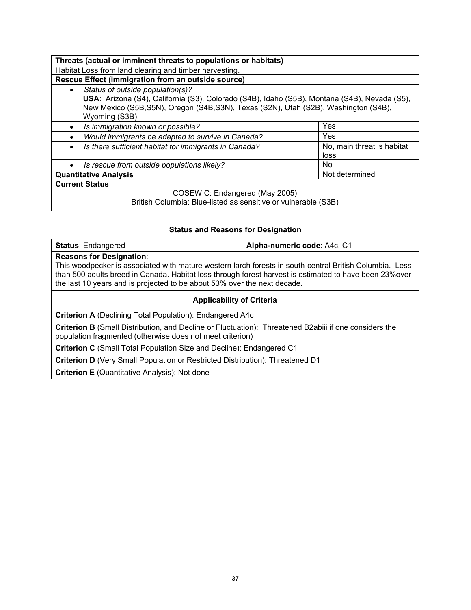| Threats (actual or imminent threats to populations or habitats)                                                                                                                                                                                         |                                    |  |  |  |
|---------------------------------------------------------------------------------------------------------------------------------------------------------------------------------------------------------------------------------------------------------|------------------------------------|--|--|--|
| Habitat Loss from land clearing and timber harvesting.                                                                                                                                                                                                  |                                    |  |  |  |
| Rescue Effect (immigration from an outside source)                                                                                                                                                                                                      |                                    |  |  |  |
| Status of outside population(s)?<br>$\bullet$<br>USA: Arizona (S4), California (S3), Colorado (S4B), Idaho (S5B), Montana (S4B), Nevada (S5),<br>New Mexico (S5B, S5N), Oregon (S4B, S3N), Texas (S2N), Utah (S2B), Washington (S4B),<br>Wyoming (S3B). |                                    |  |  |  |
| Is immigration known or possible?<br>$\bullet$                                                                                                                                                                                                          | Yes                                |  |  |  |
| Would immigrants be adapted to survive in Canada?<br>$\bullet$                                                                                                                                                                                          | Yes                                |  |  |  |
| Is there sufficient habitat for immigrants in Canada?<br>$\bullet$                                                                                                                                                                                      | No, main threat is habitat<br>loss |  |  |  |
| Is rescue from outside populations likely?<br>$\bullet$                                                                                                                                                                                                 | No.                                |  |  |  |
| <b>Quantitative Analysis</b>                                                                                                                                                                                                                            | Not determined                     |  |  |  |
| <b>Current Status</b>                                                                                                                                                                                                                                   |                                    |  |  |  |
| COSEWIC: Endangered (May 2005)<br>British Columbia: Blue-listed as sensitive or vulnerable (S3B)                                                                                                                                                        |                                    |  |  |  |

# **Status and Reasons for Designation**

| <b>Status: Endangered</b>                                                                                                                                                                                                                                                                                                         | Alpha-numeric code: A4c, C1 |  |  |  |
|-----------------------------------------------------------------------------------------------------------------------------------------------------------------------------------------------------------------------------------------------------------------------------------------------------------------------------------|-----------------------------|--|--|--|
| <b>Reasons for Designation:</b><br>This woodpecker is associated with mature western larch forests in south-central British Columbia. Less<br>than 500 adults breed in Canada. Habitat loss through forest harvest is estimated to have been 23% over<br>the last 10 years and is projected to be about 53% over the next decade. |                             |  |  |  |
| <b>Applicability of Criteria</b>                                                                                                                                                                                                                                                                                                  |                             |  |  |  |
| <b>Criterion A</b> (Declining Total Population): Endangered A4c                                                                                                                                                                                                                                                                   |                             |  |  |  |
| <b>Criterion B</b> (Small Distribution, and Decline or Fluctuation): Threatened B2abiii if one considers the<br>population fragmented (otherwise does not meet criterion)                                                                                                                                                         |                             |  |  |  |
| <b>Criterion C</b> (Small Total Population Size and Decline): Endangered C1                                                                                                                                                                                                                                                       |                             |  |  |  |
| <b>Criterion D</b> (Very Small Population or Restricted Distribution): Threatened D1                                                                                                                                                                                                                                              |                             |  |  |  |
| <b>Criterion E</b> (Quantitative Analysis): Not done                                                                                                                                                                                                                                                                              |                             |  |  |  |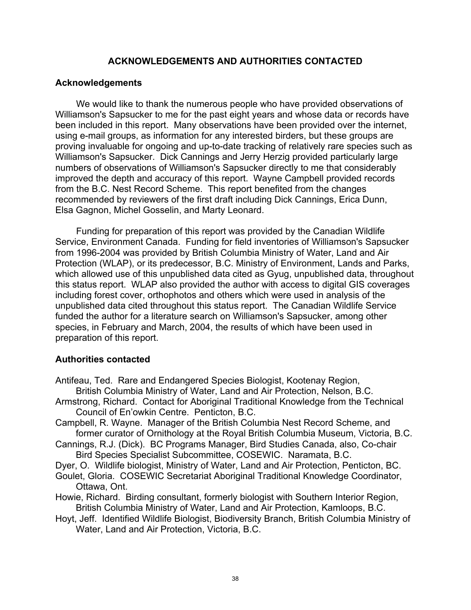# **ACKNOWLEDGEMENTS AND AUTHORITIES CONTACTED**

# **Acknowledgements**

We would like to thank the numerous people who have provided observations of Williamson's Sapsucker to me for the past eight years and whose data or records have been included in this report. Many observations have been provided over the internet, using e-mail groups, as information for any interested birders, but these groups are proving invaluable for ongoing and up-to-date tracking of relatively rare species such as Williamson's Sapsucker. Dick Cannings and Jerry Herzig provided particularly large numbers of observations of Williamson's Sapsucker directly to me that considerably improved the depth and accuracy of this report. Wayne Campbell provided records from the B.C. Nest Record Scheme. This report benefited from the changes recommended by reviewers of the first draft including Dick Cannings, Erica Dunn, Elsa Gagnon, Michel Gosselin, and Marty Leonard.

Funding for preparation of this report was provided by the Canadian Wildlife Service, Environment Canada. Funding for field inventories of Williamson's Sapsucker from 1996-2004 was provided by British Columbia Ministry of Water, Land and Air Protection (WLAP), or its predecessor, B.C. Ministry of Environment, Lands and Parks, which allowed use of this unpublished data cited as Gyug, unpublished data, throughout this status report. WLAP also provided the author with access to digital GIS coverages including forest cover, orthophotos and others which were used in analysis of the unpublished data cited throughout this status report. The Canadian Wildlife Service funded the author for a literature search on Williamson's Sapsucker, among other species, in February and March, 2004, the results of which have been used in preparation of this report.

# **Authorities contacted**

- Antifeau, Ted. Rare and Endangered Species Biologist, Kootenay Region, British Columbia Ministry of Water, Land and Air Protection, Nelson, B.C.
- Armstrong, Richard. Contact for Aboriginal Traditional Knowledge from the Technical Council of En'owkin Centre. Penticton, B.C.
- Campbell, R. Wayne. Manager of the British Columbia Nest Record Scheme, and former curator of Ornithology at the Royal British Columbia Museum, Victoria, B.C.
- Cannings, R.J. (Dick). BC Programs Manager, Bird Studies Canada, also, Co-chair Bird Species Specialist Subcommittee, COSEWIC. Naramata, B.C.

Dyer, O. Wildlife biologist, Ministry of Water, Land and Air Protection, Penticton, BC. Goulet, Gloria. COSEWIC Secretariat Aboriginal Traditional Knowledge Coordinator,

Ottawa, Ont.

Howie, Richard. Birding consultant, formerly biologist with Southern Interior Region, British Columbia Ministry of Water, Land and Air Protection, Kamloops, B.C.

Hoyt, Jeff. Identified Wildlife Biologist, Biodiversity Branch, British Columbia Ministry of Water, Land and Air Protection, Victoria, B.C.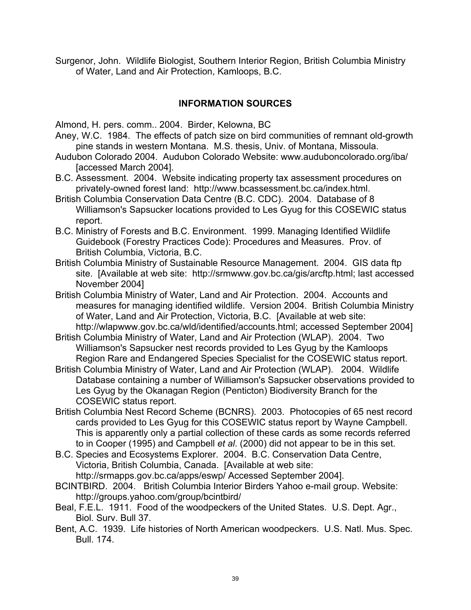Surgenor, John. Wildlife Biologist, Southern Interior Region, British Columbia Ministry of Water, Land and Air Protection, Kamloops, B.C.

# **INFORMATION SOURCES**

Almond, H. pers. comm.. 2004. Birder, Kelowna, BC

- Aney, W.C. 1984. The effects of patch size on bird communities of remnant old-growth pine stands in western Montana. M.S. thesis, Univ. of Montana, Missoula.
- Audubon Colorado 2004. Audubon Colorado Website: www.auduboncolorado.org/iba/ [accessed March 2004].
- B.C. Assessment. 2004. Website indicating property tax assessment procedures on privately-owned forest land: http://www.bcassessment.bc.ca/index.html.
- British Columbia Conservation Data Centre (B.C. CDC). 2004. Database of 8 Williamson's Sapsucker locations provided to Les Gyug for this COSEWIC status report.
- B.C. Ministry of Forests and B.C. Environment. 1999. Managing Identified Wildlife Guidebook (Forestry Practices Code): Procedures and Measures. Prov. of British Columbia, Victoria, B.C.
- British Columbia Ministry of Sustainable Resource Management. 2004. GIS data ftp site. [Available at web site: http://srmwww.gov.bc.ca/gis/arcftp.html; last accessed November 2004]
- British Columbia Ministry of Water, Land and Air Protection. 2004. Accounts and measures for managing identified wildlife. Version 2004. British Columbia Ministry of Water, Land and Air Protection, Victoria, B.C. [Available at web site: http://wlapwww.gov.bc.ca/wld/identified/accounts.html; accessed September 2004]
- British Columbia Ministry of Water, Land and Air Protection (WLAP). 2004. Two Williamson's Sapsucker nest records provided to Les Gyug by the Kamloops Region Rare and Endangered Species Specialist for the COSEWIC status report.
- British Columbia Ministry of Water, Land and Air Protection (WLAP). 2004. Wildlife Database containing a number of Williamson's Sapsucker observations provided to Les Gyug by the Okanagan Region (Penticton) Biodiversity Branch for the COSEWIC status report.
- British Columbia Nest Record Scheme (BCNRS). 2003. Photocopies of 65 nest record cards provided to Les Gyug for this COSEWIC status report by Wayne Campbell. This is apparently only a partial collection of these cards as some records referred to in Cooper (1995) and Campbell *et al*. (2000) did not appear to be in this set.
- B.C. Species and Ecosystems Explorer. 2004. B.C. Conservation Data Centre, Victoria, British Columbia, Canada. [Available at web site: http://srmapps.gov.bc.ca/apps/eswp/ Accessed September 2004].
- BCINTBIRD. 2004. British Columbia Interior Birders Yahoo e-mail group. Website: http://groups.yahoo.com/group/bcintbird/
- Beal, F.E.L. 1911. Food of the woodpeckers of the United States. U.S. Dept. Agr., Biol. Surv. Bull 37.
- Bent, A.C. 1939. Life histories of North American woodpeckers. U.S. Natl. Mus. Spec. Bull. 174.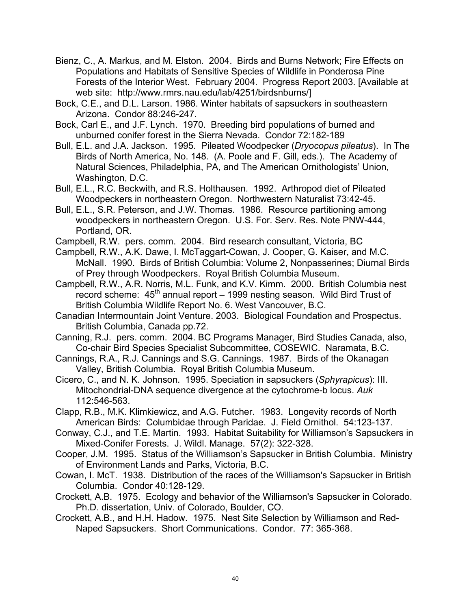- Bienz, C., A. Markus, and M. Elston. 2004. Birds and Burns Network; Fire Effects on Populations and Habitats of Sensitive Species of Wildlife in Ponderosa Pine Forests of the Interior West. February 2004. Progress Report 2003. [Available at web site: http://www.rmrs.nau.edu/lab/4251/birdsnburns/]
- Bock, C.E., and D.L. Larson. 1986. Winter habitats of sapsuckers in southeastern Arizona. Condor 88:246-247.
- Bock, Carl E., and J.F. Lynch. 1970. Breeding bird populations of burned and unburned conifer forest in the Sierra Nevada. Condor 72:182-189
- Bull, E.L. and J.A. Jackson. 1995. Pileated Woodpecker (*Dryocopus pileatus*). In The Birds of North America, No. 148. (A. Poole and F. Gill, eds.). The Academy of Natural Sciences, Philadelphia, PA, and The American Ornithologists' Union, Washington, D.C.
- Bull, E.L., R.C. Beckwith, and R.S. Holthausen. 1992. Arthropod diet of Pileated Woodpeckers in northeastern Oregon. Northwestern Naturalist 73:42-45.
- Bull, E.L., S.R. Peterson, and J.W. Thomas. 1986. Resource partitioning among woodpeckers in northeastern Oregon. U.S. For. Serv. Res. Note PNW-444, Portland, OR.
- Campbell, R.W. pers. comm. 2004. Bird research consultant, Victoria, BC
- Campbell, R.W., A.K. Dawe, I. McTaggart-Cowan, J. Cooper, G. Kaiser, and M.C. McNall. 1990. Birds of British Columbia: Volume 2, Nonpasserines; Diurnal Birds of Prey through Woodpeckers. Royal British Columbia Museum.
- Campbell, R.W., A.R. Norris, M.L. Funk, and K.V. Kimm. 2000. British Columbia nest record scheme:  $45<sup>th</sup>$  annual report – 1999 nesting season. Wild Bird Trust of British Columbia Wildlife Report No. 6. West Vancouver, B.C.
- Canadian Intermountain Joint Venture. 2003. Biological Foundation and Prospectus. British Columbia, Canada pp.72.
- Canning, R.J. pers. comm. 2004. BC Programs Manager, Bird Studies Canada, also, Co-chair Bird Species Specialist Subcommittee, COSEWIC. Naramata, B.C.
- Cannings, R.A., R.J. Cannings and S.G. Cannings. 1987. Birds of the Okanagan Valley, British Columbia. Royal British Columbia Museum.
- Cicero, C., and N. K. Johnson. 1995. Speciation in sapsuckers (*Sphyrapicus*): III. Mitochondrial-DNA sequence divergence at the cytochrome-b locus. *Auk* 112:546-563.
- Clapp, R.B., M.K. Klimkiewicz, and A.G. Futcher. 1983. Longevity records of North American Birds: Columbidae through Paridae. J. Field Ornithol. 54:123-137.
- Conway, C.J., and T.E. Martin. 1993. Habitat Suitability for Williamson's Sapsuckers in Mixed-Conifer Forests. J. Wildl. Manage. 57(2): 322-328.
- Cooper, J.M. 1995. Status of the Williamson's Sapsucker in British Columbia. Ministry of Environment Lands and Parks, Victoria, B.C.
- Cowan, I. McT. 1938. Distribution of the races of the Williamson's Sapsucker in British Columbia. Condor 40:128-129.
- Crockett, A.B. 1975. Ecology and behavior of the Williamson's Sapsucker in Colorado. Ph.D. dissertation, Univ. of Colorado, Boulder, CO.
- Crockett, A.B., and H.H. Hadow. 1975. Nest Site Selection by Williamson and Red-Naped Sapsuckers. Short Communications. Condor. 77: 365-368.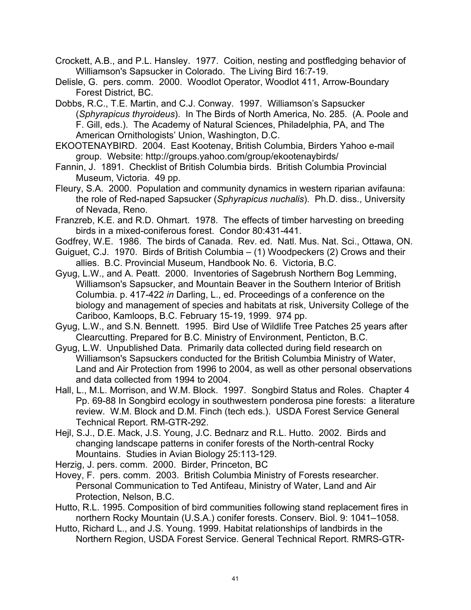Crockett, A.B., and P.L. Hansley. 1977. Coition, nesting and postfledging behavior of Williamson's Sapsucker in Colorado. The Living Bird 16:7-19.

Delisle, G. pers. comm. 2000. Woodlot Operator, Woodlot 411, Arrow-Boundary Forest District, BC.

Dobbs, R.C., T.E. Martin, and C.J. Conway. 1997. Williamson's Sapsucker (*Sphyrapicus thyroideus*). In The Birds of North America, No. 285. (A. Poole and F. Gill, eds.). The Academy of Natural Sciences, Philadelphia, PA, and The American Ornithologists' Union, Washington, D.C.

EKOOTENAYBIRD. 2004. East Kootenay, British Columbia, Birders Yahoo e-mail group. Website: http://groups.yahoo.com/group/ekootenaybirds/

Fannin, J. 1891. Checklist of British Columbia birds. British Columbia Provincial Museum, Victoria. 49 pp.

Fleury, S.A. 2000. Population and community dynamics in western riparian avifauna: the role of Red-naped Sapsucker (*Sphyrapicus nuchalis*). Ph.D. diss., University of Nevada, Reno.

Franzreb, K.E. and R.D. Ohmart. 1978. The effects of timber harvesting on breeding birds in a mixed-coniferous forest. Condor 80:431-441.

- Godfrey, W.E. 1986. The birds of Canada. Rev. ed. Natl. Mus. Nat. Sci., Ottawa, ON.
- Guiguet, C.J. 1970. Birds of British Columbia (1) Woodpeckers (2) Crows and their allies. B.C. Provincial Museum, Handbook No. 6. Victoria, B.C.
- Gyug, L.W., and A. Peatt. 2000. Inventories of Sagebrush Northern Bog Lemming, Williamson's Sapsucker, and Mountain Beaver in the Southern Interior of British Columbia. p. 417-422 *in* Darling, L., ed. Proceedings of a conference on the biology and management of species and habitats at risk, University College of the Cariboo, Kamloops, B.C. February 15-19, 1999. 974 pp.
- Gyug, L.W., and S.N. Bennett. 1995. Bird Use of Wildlife Tree Patches 25 years after Clearcutting. Prepared for B.C. Ministry of Environment, Penticton, B.C.
- Gyug, L.W. Unpublished Data. Primarily data collected during field research on Williamson's Sapsuckers conducted for the British Columbia Ministry of Water, Land and Air Protection from 1996 to 2004, as well as other personal observations and data collected from 1994 to 2004.
- Hall, L., M.L. Morrison, and W.M. Block. 1997. Songbird Status and Roles. Chapter 4 Pp. 69-88 In Songbird ecology in southwestern ponderosa pine forests: a literature review. W.M. Block and D.M. Finch (tech eds.). USDA Forest Service General Technical Report. RM-GTR-292.
- Hejl, S.J., D.E. Mack, J.S. Young, J.C. Bednarz and R.L. Hutto. 2002. Birds and changing landscape patterns in conifer forests of the North-central Rocky Mountains. Studies in Avian Biology 25:113-129.

Herzig, J. pers. comm. 2000. Birder, Princeton, BC

- Hovey, F. pers. comm. 2003. British Columbia Ministry of Forests researcher. Personal Communication to Ted Antifeau, Ministry of Water, Land and Air Protection, Nelson, B.C.
- Hutto, R.L. 1995. Composition of bird communities following stand replacement fires in northern Rocky Mountain (U.S.A.) conifer forests. Conserv. Biol. 9: 1041–1058.
- Hutto, Richard L., and J.S. Young. 1999. Habitat relationships of landbirds in the Northern Region, USDA Forest Service. General Technical Report. RMRS-GTR-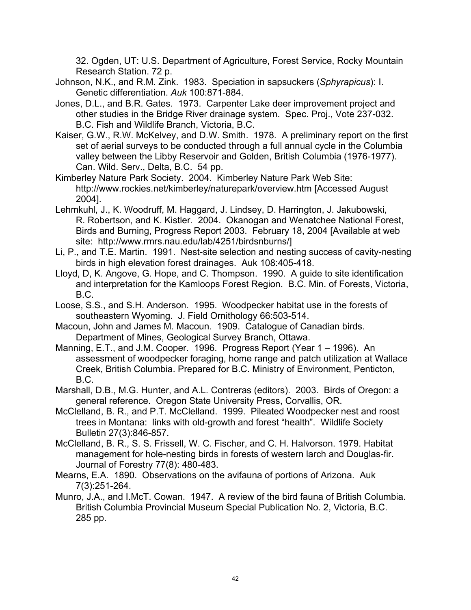32. Ogden, UT: U.S. Department of Agriculture, Forest Service, Rocky Mountain Research Station. 72 p.

- Johnson, N.K., and R.M. Zink. 1983. Speciation in sapsuckers (*Sphyrapicus*): I. Genetic differentiation. *Auk* 100:871-884.
- Jones, D.L., and B.R. Gates. 1973. Carpenter Lake deer improvement project and other studies in the Bridge River drainage system. Spec. Proj., Vote 237-032. B.C. Fish and Wildlife Branch, Victoria, B.C.
- Kaiser, G.W., R.W. McKelvey, and D.W. Smith. 1978. A preliminary report on the first set of aerial surveys to be conducted through a full annual cycle in the Columbia valley between the Libby Reservoir and Golden, British Columbia (1976-1977). Can. Wild. Serv., Delta, B.C. 54 pp.
- Kimberley Nature Park Society. 2004. Kimberley Nature Park Web Site: http://www.rockies.net/kimberley/naturepark/overview.htm [Accessed August 2004].
- Lehmkuhl, J., K. Woodruff, M. Haggard, J. Lindsey, D. Harrington, J. Jakubowski, R. Robertson, and K. Kistler. 2004. Okanogan and Wenatchee National Forest, Birds and Burning, Progress Report 2003. February 18, 2004 [Available at web site: http://www.rmrs.nau.edu/lab/4251/birdsnburns/]
- Li, P., and T.E. Martin. 1991. Nest-site selection and nesting success of cavity-nesting birds in high elevation forest drainages. Auk 108:405-418.
- Lloyd, D, K. Angove, G. Hope, and C. Thompson. 1990. A guide to site identification and interpretation for the Kamloops Forest Region. B.C. Min. of Forests, Victoria, B.C.
- Loose, S.S., and S.H. Anderson. 1995. Woodpecker habitat use in the forests of southeastern Wyoming. J. Field Ornithology 66:503-514.
- Macoun, John and James M. Macoun. 1909. Catalogue of Canadian birds. Department of Mines, Geological Survey Branch, Ottawa.
- Manning, E.T., and J.M. Cooper. 1996. Progress Report (Year 1 1996). An assessment of woodpecker foraging, home range and patch utilization at Wallace Creek, British Columbia. Prepared for B.C. Ministry of Environment, Penticton, B.C.
- Marshall, D.B., M.G. Hunter, and A.L. Contreras (editors). 2003. Birds of Oregon: a general reference. Oregon State University Press, Corvallis, OR.
- McClelland, B. R., and P.T. McClelland. 1999. Pileated Woodpecker nest and roost trees in Montana: links with old-growth and forest "health". Wildlife Society Bulletin 27(3):846-857.
- McClelland, B. R., S. S. Frissell, W. C. Fischer, and C. H. Halvorson. 1979. Habitat management for hole-nesting birds in forests of western larch and Douglas-fir. Journal of Forestry 77(8): 480-483.
- Mearns, E.A. 1890. Observations on the avifauna of portions of Arizona. Auk 7(3):251-264.
- Munro, J.A., and I.McT. Cowan. 1947. A review of the bird fauna of British Columbia. British Columbia Provincial Museum Special Publication No. 2, Victoria, B.C. 285 pp.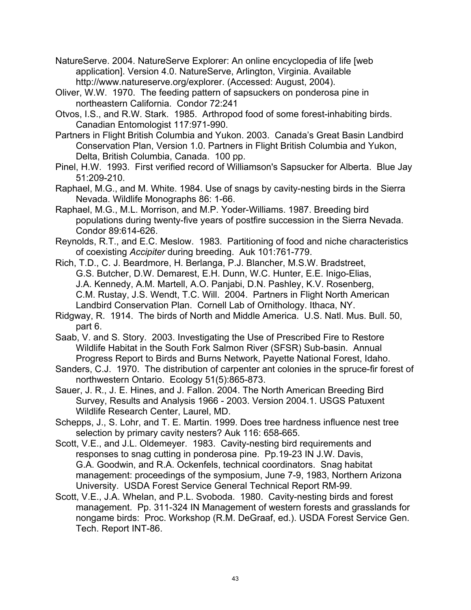NatureServe. 2004. NatureServe Explorer: An online encyclopedia of life [web application]. Version 4.0. NatureServe, Arlington, Virginia. Available http://www.natureserve.org/explorer. (Accessed: August, 2004).

Oliver, W.W. 1970. The feeding pattern of sapsuckers on ponderosa pine in northeastern California. Condor 72:241

Otvos, I.S., and R.W. Stark. 1985. Arthropod food of some forest-inhabiting birds. Canadian Entomologist 117:971-990.

Partners in Flight British Columbia and Yukon. 2003. Canada's Great Basin Landbird Conservation Plan, Version 1.0. Partners in Flight British Columbia and Yukon, Delta, British Columbia, Canada. 100 pp.

Pinel, H.W. 1993. First verified record of Williamson's Sapsucker for Alberta. Blue Jay 51:209-210.

Raphael, M.G., and M. White. 1984. Use of snags by cavity-nesting birds in the Sierra Nevada. Wildlife Monographs 86: 1-66.

Raphael, M.G., M.L. Morrison, and M.P. Yoder-Williams. 1987. Breeding bird populations during twenty-five years of postfire succession in the Sierra Nevada. Condor 89:614-626.

Reynolds, R.T., and E.C. Meslow. 1983. Partitioning of food and niche characteristics of coexisting *Accipiter* during breeding. Auk 101:761-779.

Rich, T.D., C. J. Beardmore, H. Berlanga, P.J. Blancher, M.S.W. Bradstreet, G.S. Butcher, D.W. Demarest, E.H. Dunn, W.C. Hunter, E.E. Inigo-Elias, J.A. Kennedy, A.M. Martell, A.O. Panjabi, D.N. Pashley, K.V. Rosenberg, C.M. Rustay, J.S. Wendt, T.C. Will. 2004. Partners in Flight North American Landbird Conservation Plan. Cornell Lab of Ornithology. Ithaca, NY.

Ridgway, R. 1914. The birds of North and Middle America. U.S. Natl. Mus. Bull. 50, part 6.

Saab, V. and S. Story. 2003. Investigating the Use of Prescribed Fire to Restore Wildlife Habitat in the South Fork Salmon River (SFSR) Sub-basin. Annual Progress Report to Birds and Burns Network, Payette National Forest, Idaho.

Sanders, C.J. 1970. The distribution of carpenter ant colonies in the spruce-fir forest of northwestern Ontario. Ecology 51(5):865-873.

Sauer, J. R., J. E. Hines, and J. Fallon. 2004. The North American Breeding Bird Survey, Results and Analysis 1966 - 2003. Version 2004.1. USGS Patuxent Wildlife Research Center, Laurel, MD.

Schepps, J., S. Lohr, and T. E. Martin. 1999. Does tree hardness influence nest tree selection by primary cavity nesters? Auk 116: 658-665.

Scott, V.E., and J.L. Oldemeyer. 1983. Cavity-nesting bird requirements and responses to snag cutting in ponderosa pine. Pp.19-23 IN J.W. Davis, G.A. Goodwin, and R.A. Ockenfels, technical coordinators. Snag habitat management: proceedings of the symposium, June 7-9, 1983, Northern Arizona University. USDA Forest Service General Technical Report RM-99.

Scott, V.E., J.A. Whelan, and P.L. Svoboda. 1980. Cavity-nesting birds and forest management. Pp. 311-324 IN Management of western forests and grasslands for nongame birds: Proc. Workshop (R.M. DeGraaf, ed.). USDA Forest Service Gen. Tech. Report INT-86.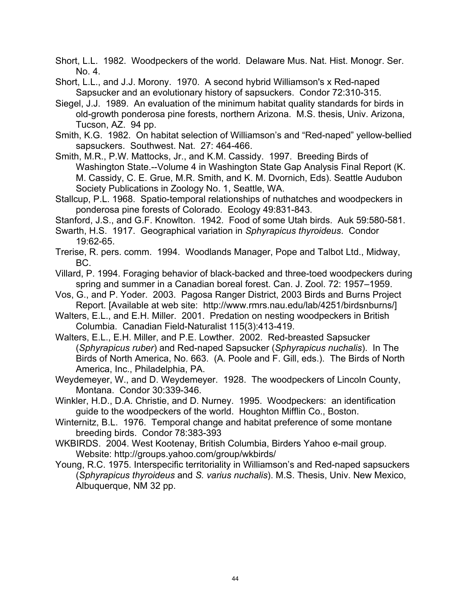Short, L.L. 1982. Woodpeckers of the world. Delaware Mus. Nat. Hist. Monogr. Ser. No. 4.

Short, L.L., and J.J. Morony. 1970. A second hybrid Williamson's x Red-naped Sapsucker and an evolutionary history of sapsuckers. Condor 72:310-315.

Siegel, J.J. 1989. An evaluation of the minimum habitat quality standards for birds in old-growth ponderosa pine forests, northern Arizona. M.S. thesis, Univ. Arizona, Tucson, AZ. 94 pp.

Smith, K.G. 1982. On habitat selection of Williamson's and "Red-naped" yellow-bellied sapsuckers. Southwest. Nat. 27: 464-466.

Smith, M.R., P.W. Mattocks, Jr., and K.M. Cassidy. 1997. Breeding Birds of Washington State.--Volume 4 in Washington State Gap Analysis Final Report (K. M. Cassidy, C. E. Grue, M.R. Smith, and K. M. Dvornich, Eds). Seattle Audubon Society Publications in Zoology No. 1, Seattle, WA.

Stallcup, P.L. 1968. Spatio-temporal relationships of nuthatches and woodpeckers in ponderosa pine forests of Colorado. Ecology 49:831-843.

Stanford, J.S., and G.F. Knowlton. 1942. Food of some Utah birds. Auk 59:580-581.

- Swarth, H.S. 1917. Geographical variation in *Sphyrapicus thyroideus*. Condor 19:62-65.
- Trerise, R. pers. comm. 1994. Woodlands Manager, Pope and Talbot Ltd., Midway, BC.
- Villard, P. 1994. Foraging behavior of black-backed and three-toed woodpeckers during spring and summer in a Canadian boreal forest. Can. J. Zool. 72: 1957–1959.
- Vos, G., and P. Yoder. 2003. Pagosa Ranger District, 2003 Birds and Burns Project Report. [Available at web site: http://www.rmrs.nau.edu/lab/4251/birdsnburns/]

Walters, E.L., and E.H. Miller. 2001. Predation on nesting woodpeckers in British Columbia. Canadian Field-Naturalist 115(3):413-419.

- Walters, E.L., E.H. Miller, and P.E. Lowther. 2002. Red-breasted Sapsucker (*Sphyrapicus ruber*) and Red-naped Sapsucker (*Sphyrapicus nuchalis*). In The Birds of North America, No. 663. (A. Poole and F. Gill, eds.). The Birds of North America, Inc., Philadelphia, PA.
- Weydemeyer, W., and D. Weydemeyer. 1928. The woodpeckers of Lincoln County, Montana. Condor 30:339-346.

Winkler, H.D., D.A. Christie, and D. Nurney. 1995. Woodpeckers: an identification guide to the woodpeckers of the world. Houghton Mifflin Co., Boston.

Winternitz, B.L. 1976. Temporal change and habitat preference of some montane breeding birds. Condor 78:383-393

WKBIRDS. 2004. West Kootenay, British Columbia, Birders Yahoo e-mail group. Website: http://groups.yahoo.com/group/wkbirds/

Young, R.C. 1975. Interspecific territoriality in Williamson's and Red-naped sapsuckers (*Sphyrapicus thyroideus* and *S. varius nuchalis*). M.S. Thesis, Univ. New Mexico, Albuquerque, NM 32 pp.